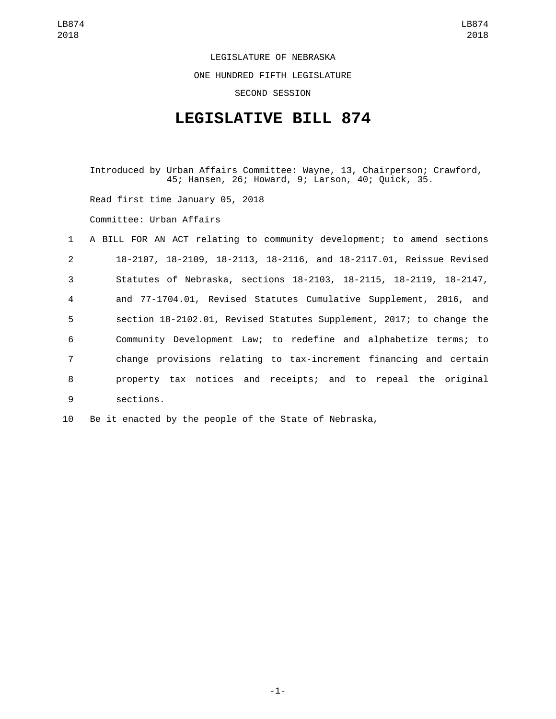LEGISLATURE OF NEBRASKA ONE HUNDRED FIFTH LEGISLATURE

SECOND SESSION

## **LEGISLATIVE BILL 874**

Introduced by Urban Affairs Committee: Wayne, 13, Chairperson; Crawford, 45; Hansen, 26; Howard, 9; Larson, 40; Quick, 35.

Read first time January 05, 2018

Committee: Urban Affairs

|                | 1 A BILL FOR AN ACT relating to community development; to amend sections |
|----------------|--------------------------------------------------------------------------|
| 2              | 18-2107, 18-2109, 18-2113, 18-2116, and 18-2117.01, Reissue Revised      |
| $\mathbf{3}$   | Statutes of Nebraska, sections 18-2103, 18-2115, 18-2119, 18-2147,       |
| $\overline{4}$ | and 77-1704.01, Revised Statutes Cumulative Supplement, 2016, and        |
| 5              | section 18-2102.01, Revised Statutes Supplement, 2017; to change the     |
| 6              | Community Development Law; to redefine and alphabetize terms; to         |
| $\overline{7}$ | change provisions relating to tax-increment financing and certain        |
| 8              | property tax notices and receipts; and to repeal the original            |
| 9              | sections.                                                                |

10 Be it enacted by the people of the State of Nebraska,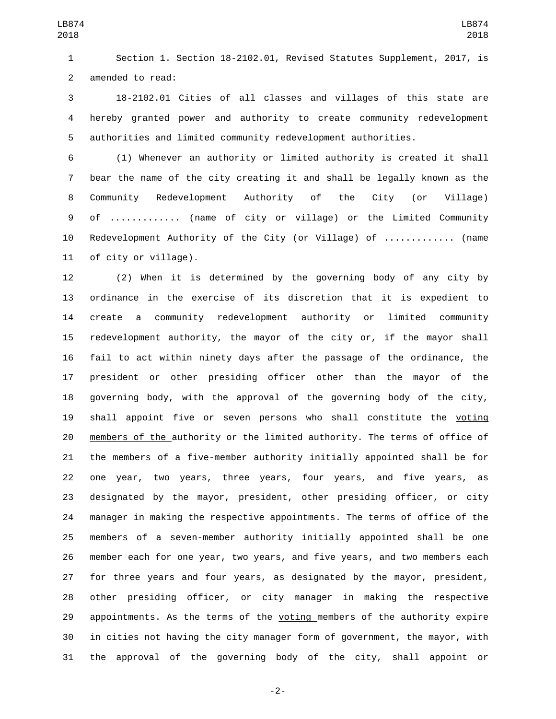Section 1. Section 18-2102.01, Revised Statutes Supplement, 2017, is 2 amended to read:

 18-2102.01 Cities of all classes and villages of this state are hereby granted power and authority to create community redevelopment authorities and limited community redevelopment authorities.

 (1) Whenever an authority or limited authority is created it shall bear the name of the city creating it and shall be legally known as the Community Redevelopment Authority of the City (or Village) of ............. (name of city or village) or the Limited Community Redevelopment Authority of the City (or Village) of ............. (name 11 of city or village).

 (2) When it is determined by the governing body of any city by ordinance in the exercise of its discretion that it is expedient to create a community redevelopment authority or limited community redevelopment authority, the mayor of the city or, if the mayor shall fail to act within ninety days after the passage of the ordinance, the president or other presiding officer other than the mayor of the governing body, with the approval of the governing body of the city, 19 shall appoint five or seven persons who shall constitute the voting members of the authority or the limited authority. The terms of office of the members of a five-member authority initially appointed shall be for one year, two years, three years, four years, and five years, as designated by the mayor, president, other presiding officer, or city manager in making the respective appointments. The terms of office of the members of a seven-member authority initially appointed shall be one member each for one year, two years, and five years, and two members each for three years and four years, as designated by the mayor, president, other presiding officer, or city manager in making the respective 29 appointments. As the terms of the voting members of the authority expire in cities not having the city manager form of government, the mayor, with the approval of the governing body of the city, shall appoint or

-2-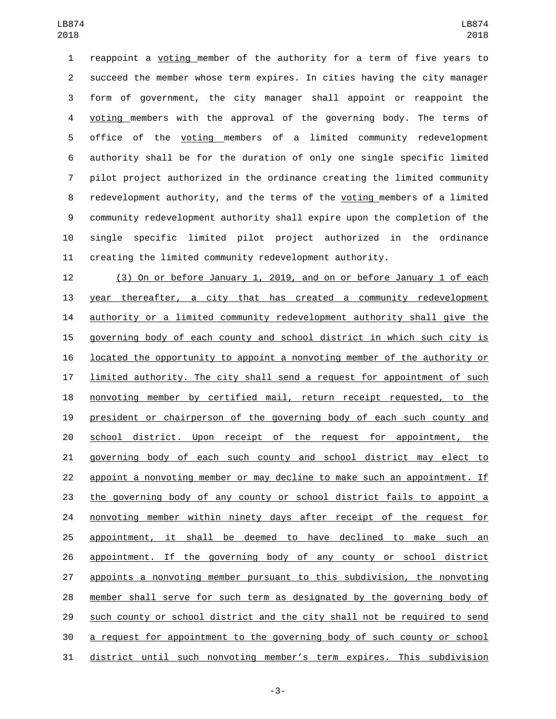reappoint a voting member of the authority for a term of five years to succeed the member whose term expires. In cities having the city manager form of government, the city manager shall appoint or reappoint the voting members with the approval of the governing body. The terms of office of the voting members of a limited community redevelopment authority shall be for the duration of only one single specific limited pilot project authorized in the ordinance creating the limited community redevelopment authority, and the terms of the voting members of a limited community redevelopment authority shall expire upon the completion of the single specific limited pilot project authorized in the ordinance creating the limited community redevelopment authority.

 (3) On or before January 1, 2019, and on or before January 1 of each year thereafter, a city that has created a community redevelopment authority or a limited community redevelopment authority shall give the governing body of each county and school district in which such city is located the opportunity to appoint a nonvoting member of the authority or **limited authority.** The city shall send a request for appointment of such nonvoting member by certified mail, return receipt requested, to the president or chairperson of the governing body of each such county and school district. Upon receipt of the request for appointment, the governing body of each such county and school district may elect to appoint a nonvoting member or may decline to make such an appointment. If the governing body of any county or school district fails to appoint a 24 nonvoting member within ninety days after receipt of the request for appointment, it shall be deemed to have declined to make such an appointment. If the governing body of any county or school district appoints a nonvoting member pursuant to this subdivision, the nonvoting member shall serve for such term as designated by the governing body of such county or school district and the city shall not be required to send a request for appointment to the governing body of such county or school district until such nonvoting member's term expires. This subdivision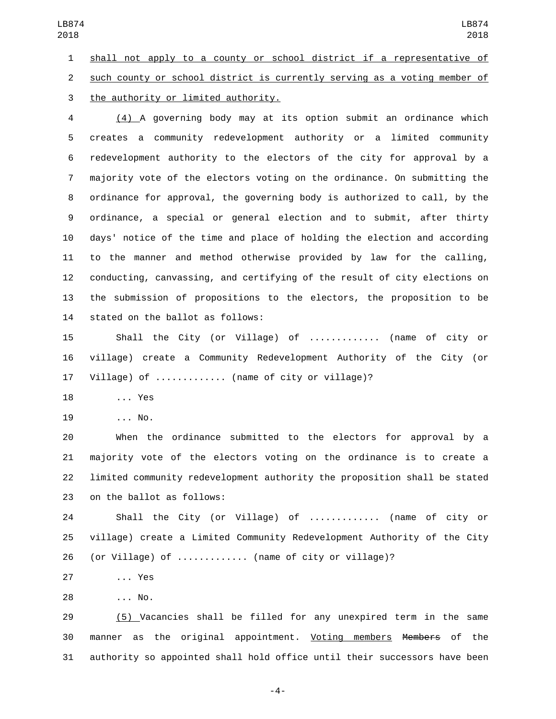shall not apply to a county or school district if a representative of such county or school district is currently serving as a voting member of 3 the authority or limited authority. (4) A governing body may at its option submit an ordinance which creates a community redevelopment authority or a limited community redevelopment authority to the electors of the city for approval by a majority vote of the electors voting on the ordinance. On submitting the ordinance for approval, the governing body is authorized to call, by the ordinance, a special or general election and to submit, after thirty days' notice of the time and place of holding the election and according to the manner and method otherwise provided by law for the calling, conducting, canvassing, and certifying of the result of city elections on the submission of propositions to the electors, the proposition to be 14 stated on the ballot as follows: Shall the City (or Village) of ............. (name of city or village) create a Community Redevelopment Authority of the City (or Village) of ............. (name of city or village)? 18 ... Yes 19 ... No. When the ordinance submitted to the electors for approval by a majority vote of the electors voting on the ordinance is to create a LB874 LB874 

 limited community redevelopment authority the proposition shall be stated 23 on the ballot as follows:

 Shall the City (or Village) of ............. (name of city or village) create a Limited Community Redevelopment Authority of the City (or Village) of ............. (name of city or village)?

27 ... Yes

... No.28

 (5) Vacancies shall be filled for any unexpired term in the same manner as the original appointment. Voting members Members of the authority so appointed shall hold office until their successors have been

-4-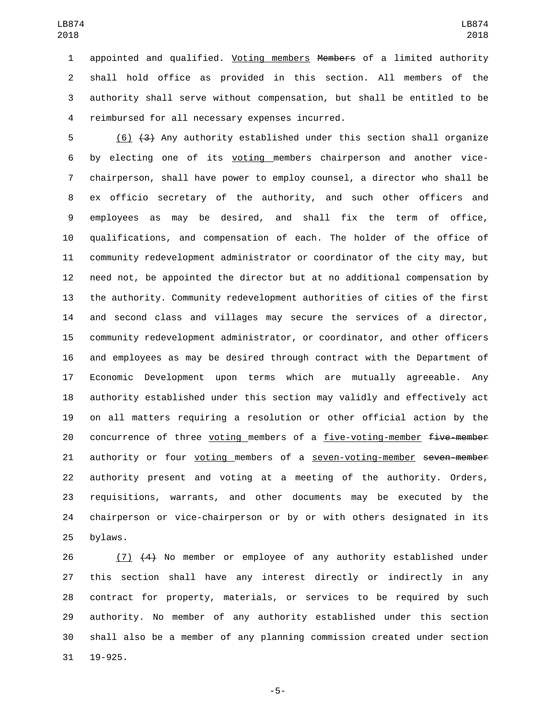appointed and qualified. Voting members Members of a limited authority shall hold office as provided in this section. All members of the authority shall serve without compensation, but shall be entitled to be reimbursed for all necessary expenses incurred.4

 (6) (3) Any authority established under this section shall organize by electing one of its voting members chairperson and another vice- chairperson, shall have power to employ counsel, a director who shall be ex officio secretary of the authority, and such other officers and employees as may be desired, and shall fix the term of office, qualifications, and compensation of each. The holder of the office of community redevelopment administrator or coordinator of the city may, but need not, be appointed the director but at no additional compensation by the authority. Community redevelopment authorities of cities of the first and second class and villages may secure the services of a director, community redevelopment administrator, or coordinator, and other officers and employees as may be desired through contract with the Department of Economic Development upon terms which are mutually agreeable. Any authority established under this section may validly and effectively act on all matters requiring a resolution or other official action by the 20 concurrence of three voting members of a five-voting-member five-member 21 authority or four voting members of a seven-voting-member seven-member authority present and voting at a meeting of the authority. Orders, requisitions, warrants, and other documents may be executed by the chairperson or vice-chairperson or by or with others designated in its 25 bylaws.

 (7) (4) No member or employee of any authority established under this section shall have any interest directly or indirectly in any contract for property, materials, or services to be required by such authority. No member of any authority established under this section shall also be a member of any planning commission created under section 19-925.

-5-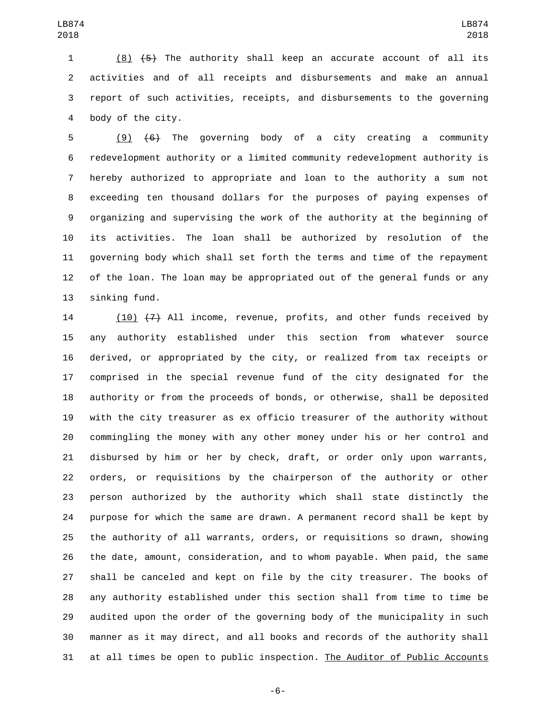(8) (5) The authority shall keep an accurate account of all its activities and of all receipts and disbursements and make an annual report of such activities, receipts, and disbursements to the governing 4 body of the city.

 (9) (6) The governing body of a city creating a community redevelopment authority or a limited community redevelopment authority is hereby authorized to appropriate and loan to the authority a sum not exceeding ten thousand dollars for the purposes of paying expenses of organizing and supervising the work of the authority at the beginning of its activities. The loan shall be authorized by resolution of the governing body which shall set forth the terms and time of the repayment of the loan. The loan may be appropriated out of the general funds or any 13 sinking fund.

14 (10)  $(7)$  All income, revenue, profits, and other funds received by any authority established under this section from whatever source derived, or appropriated by the city, or realized from tax receipts or comprised in the special revenue fund of the city designated for the authority or from the proceeds of bonds, or otherwise, shall be deposited with the city treasurer as ex officio treasurer of the authority without commingling the money with any other money under his or her control and disbursed by him or her by check, draft, or order only upon warrants, orders, or requisitions by the chairperson of the authority or other person authorized by the authority which shall state distinctly the purpose for which the same are drawn. A permanent record shall be kept by the authority of all warrants, orders, or requisitions so drawn, showing the date, amount, consideration, and to whom payable. When paid, the same shall be canceled and kept on file by the city treasurer. The books of any authority established under this section shall from time to time be audited upon the order of the governing body of the municipality in such manner as it may direct, and all books and records of the authority shall at all times be open to public inspection. The Auditor of Public Accounts

-6-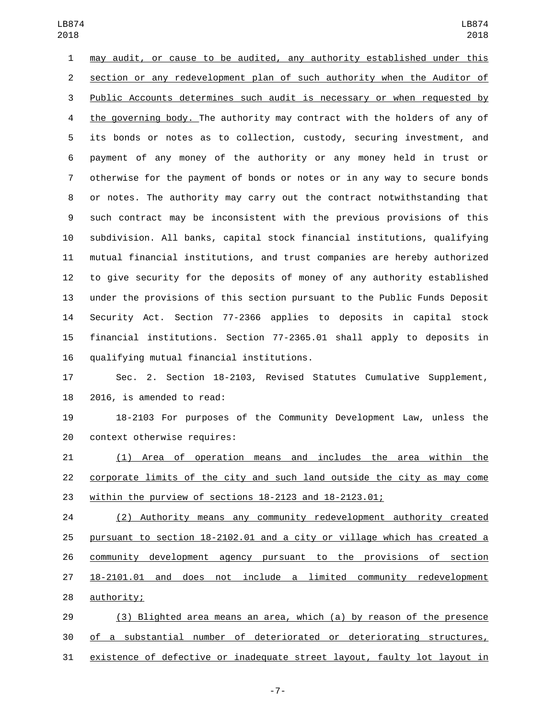may audit, or cause to be audited, any authority established under this section or any redevelopment plan of such authority when the Auditor of Public Accounts determines such audit is necessary or when requested by the governing body. The authority may contract with the holders of any of its bonds or notes as to collection, custody, securing investment, and payment of any money of the authority or any money held in trust or otherwise for the payment of bonds or notes or in any way to secure bonds or notes. The authority may carry out the contract notwithstanding that such contract may be inconsistent with the previous provisions of this subdivision. All banks, capital stock financial institutions, qualifying mutual financial institutions, and trust companies are hereby authorized to give security for the deposits of money of any authority established under the provisions of this section pursuant to the Public Funds Deposit Security Act. Section 77-2366 applies to deposits in capital stock financial institutions. Section 77-2365.01 shall apply to deposits in 16 qualifying mutual financial institutions.

 Sec. 2. Section 18-2103, Revised Statutes Cumulative Supplement, 2016, is amended to read:

 18-2103 For purposes of the Community Development Law, unless the 20 context otherwise requires:

 (1) Area of operation means and includes the area within the corporate limits of the city and such land outside the city as may come within the purview of sections 18-2123 and 18-2123.01;

 (2) Authority means any community redevelopment authority created pursuant to section 18-2102.01 and a city or village which has created a community development agency pursuant to the provisions of section 18-2101.01 and does not include a limited community redevelopment 28 authority;

 (3) Blighted area means an area, which (a) by reason of the presence of a substantial number of deteriorated or deteriorating structures, existence of defective or inadequate street layout, faulty lot layout in

-7-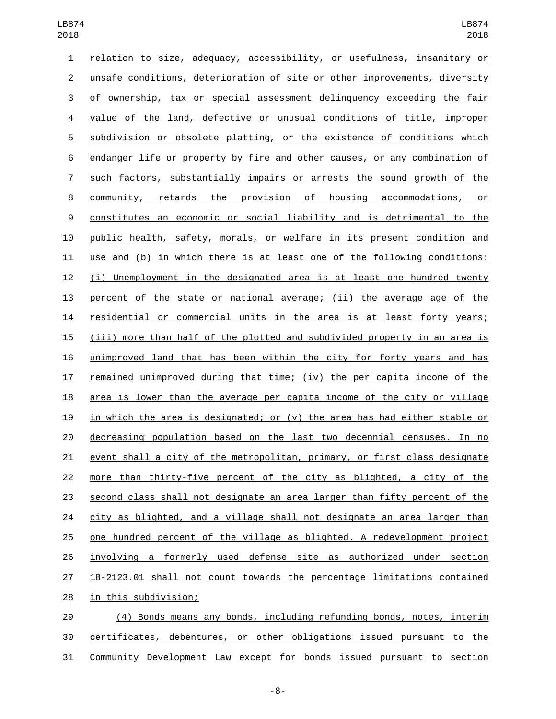| $\mathbf{1}$   | relation to size, adequacy, accessibility, or usefulness, insanitary or          |
|----------------|----------------------------------------------------------------------------------|
| $\overline{c}$ | unsafe conditions, deterioration of site or other improvements, diversity        |
| 3              | of ownership, tax or special assessment delinquency exceeding the fair           |
| 4              | value of the land, defective or unusual conditions of title, improper            |
| 5              | subdivision or obsolete platting, or the existence of conditions which           |
| 6              | endanger life or property by fire and other causes, or any combination of        |
| $\overline{7}$ | such factors, substantially impairs or arrests the sound growth of the           |
| 8              | community, retards the provision of housing accommodations, or                   |
| 9              | constitutes an economic or social liability and is detrimental to the            |
| 10             | public health, safety, morals, or welfare in its present condition and           |
| 11             | use and (b) in which there is at least one of the following conditions:          |
| 12             | Unemployment in the designated area is at least one hundred twenty<br>(i)        |
| 13             | percent of the state or national average; (ii) the average age of the            |
| 14             | residential or commercial units in the area is at least forty years;             |
| 15             | <u>(iii) more than half of the plotted and subdivided property in an area is</u> |
| 16             | unimproved land that has been within the city for forty years and has            |
| 17             | <u>remained unimproved during that time; (iv) the per capita income of the</u>   |
| 18             | area is lower than the average per capita income of the city or village          |
| 19             | in which the area is designated; or (v) the area has had either stable or        |
| 20             | decreasing population based on the last two decennial censuses. In no            |
| 21             | event shall a city of the metropolitan, primary, or first class designate        |
| 22             | more than thirty-five percent of the city as blighted, a city of the             |
| 23             | second class shall not designate an area larger than fifty percent of the        |
| 24             | city as blighted, and a village shall not designate an area larger than          |
| 25             | one hundred percent of the village as blighted. A redevelopment project          |
| 26             | involving a formerly used defense site as authorized under section               |
| 27             | 18-2123.01 shall not count towards the percentage limitations contained          |
| 28             | in this subdivision;                                                             |
|                |                                                                                  |

 (4) Bonds means any bonds, including refunding bonds, notes, interim certificates, debentures, or other obligations issued pursuant to the Community Development Law except for bonds issued pursuant to section

-8-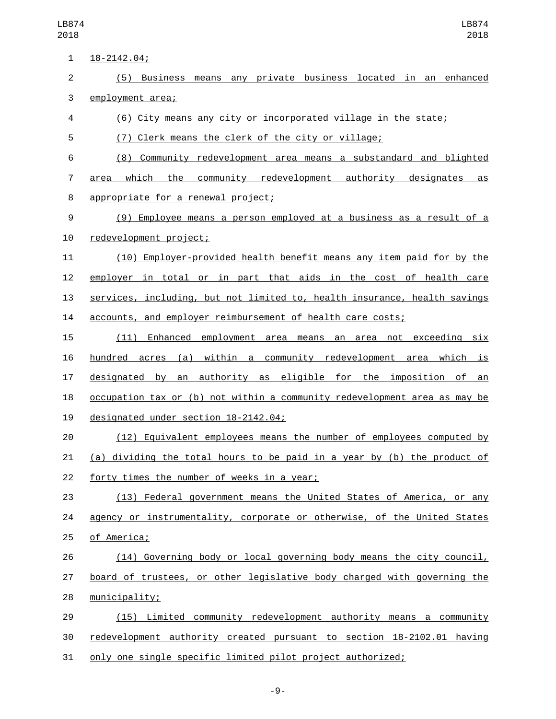$18 - 2142.04;$  (5) Business means any private business located in an enhanced 3 employment area; (6) City means any city or incorporated village in the state; (7) Clerk means the clerk of the city or village; (8) Community redevelopment area means a substandard and blighted 7 area which the community redevelopment authority designates as 8 appropriate for a renewal project; (9) Employee means a person employed at a business as a result of a 10 redevelopment project; (10) Employer-provided health benefit means any item paid for by the employer in total or in part that aids in the cost of health care services, including, but not limited to, health insurance, health savings accounts, and employer reimbursement of health care costs; (11) Enhanced employment area means an area not exceeding six hundred acres (a) within a community redevelopment area which is designated by an authority as eligible for the imposition of an occupation tax or (b) not within a community redevelopment area as may be 19 designated under section 18-2142.04; (12) Equivalent employees means the number of employees computed by (a) dividing the total hours to be paid in a year by (b) the product of 22 forty times the number of weeks in a year; (13) Federal government means the United States of America, or any agency or instrumentality, corporate or otherwise, of the United States 25 of America; (14) Governing body or local governing body means the city council, board of trustees, or other legislative body charged with governing the 28 municipality; (15) Limited community redevelopment authority means a community redevelopment authority created pursuant to section 18-2102.01 having

only one single specific limited pilot project authorized;

-9-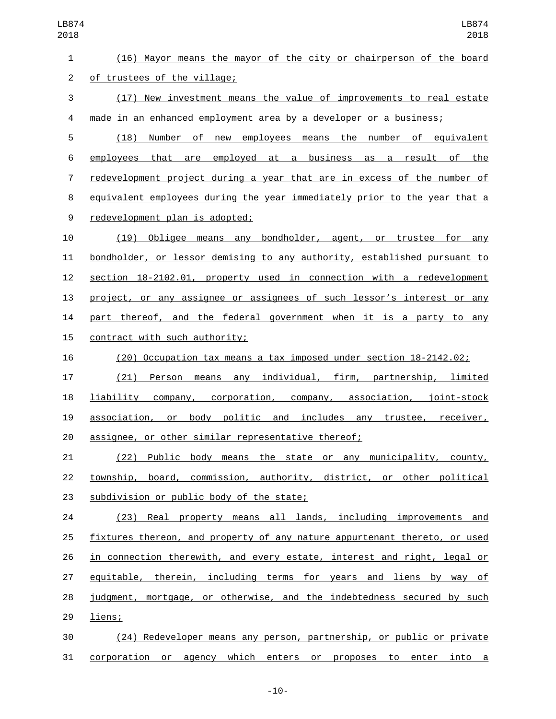(16) Mayor means the mayor of the city or chairperson of the board 2 of trustees of the village;

 (17) New investment means the value of improvements to real estate made in an enhanced employment area by a developer or a business;

 (18) Number of new employees means the number of equivalent employees that are employed at a business as a result of the redevelopment project during a year that are in excess of the number of equivalent employees during the year immediately prior to the year that a 9 redevelopment plan is adopted;

 (19) Obligee means any bondholder, agent, or trustee for any bondholder, or lessor demising to any authority, established pursuant to section 18-2102.01, property used in connection with a redevelopment project, or any assignee or assignees of such lessor's interest or any part thereof, and the federal government when it is a party to any 15 contract with such authority;

(20) Occupation tax means a tax imposed under section 18-2142.02;

 (21) Person means any individual, firm, partnership, limited liability company, corporation, company, association, joint-stock 19 association, or body politic and includes any trustee, receiver, assignee, or other similar representative thereof;

 (22) Public body means the state or any municipality, county, township, board, commission, authority, district, or other political 23 subdivision or public body of the state;

 (23) Real property means all lands, including improvements and fixtures thereon, and property of any nature appurtenant thereto, or used in connection therewith, and every estate, interest and right, legal or equitable, therein, including terms for years and liens by way of judgment, mortgage, or otherwise, and the indebtedness secured by such 29 liens;

 (24) Redeveloper means any person, partnership, or public or private corporation or agency which enters or proposes to enter into a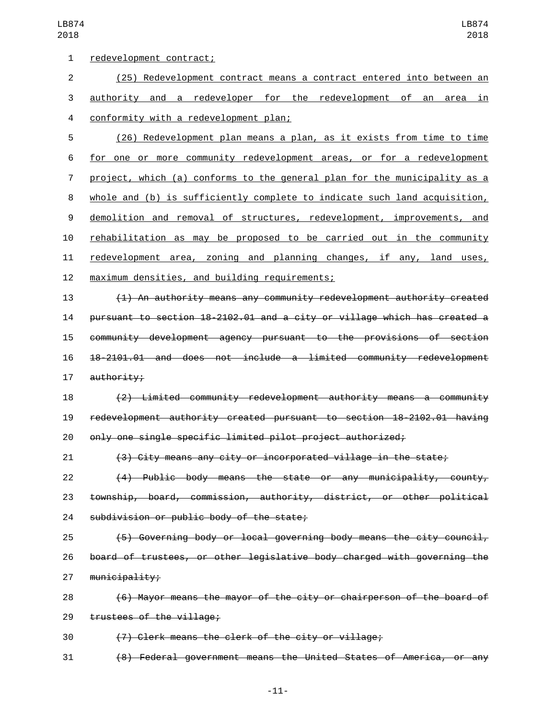| 1              | redevelopment contract;                                                   |
|----------------|---------------------------------------------------------------------------|
| $\overline{c}$ | (25) Redevelopment contract means a contract entered into between an      |
| 3              | authority and a redeveloper for the redevelopment of an area in           |
| 4              | conformity with a redevelopment plan;                                     |
| 5              | (26) Redevelopment plan means a plan, as it exists from time to time      |
| 6              | for one or more community redevelopment areas, or for a redevelopment     |
| 7              | project, which (a) conforms to the general plan for the municipality as a |
| 8              | whole and (b) is sufficiently complete to indicate such land acquisition, |
| 9              | demolition and removal of structures, redevelopment, improvements, and    |
| 10             | rehabilitation as may be proposed to be carried out in the community      |
| 11             | redevelopment area, zoning and planning changes, if any, land uses,       |
| 12             | maximum densities, and building requirements;                             |
| 13             | (1) An authority means any community redevelopment authority created      |
| 14             | pursuant to section 18-2102.01 and a city or village which has created a  |
| 15             | community development agency pursuant to the provisions of section        |
| 16             | 18-2101.01 and does not include a limited community redevelopment         |
| 17             | authority;                                                                |
| 18             | (2) Limited community redevelopment authority means a community           |
| 19             | redevelopment authority created pursuant to section 18-2102.01 having     |
| 20             | only one single specific limited pilot project authorized;                |
| 21             | (3) City means any city or incorporated village in the state;             |
| 22             | (4) Public body means the state or any municipality, county,              |
| 23             | township, board, commission, authority, district, or other political      |
| 24             | subdivision or public body of the state;                                  |
| 25             | (5) Governing body or local governing body means the city council,        |
| 26             | board of trustees, or other legislative body charged with governing the   |
| 27             | $m$ unicipality;                                                          |
| 28             | (6) Mayor means the mayor of the city or chairperson of the board of      |
| 29             | trustees of the village;                                                  |
| 30             | (7) Clerk means the clerk of the city or village;                         |
| 31             | (8) Federal government means the United States of America, or any         |
|                |                                                                           |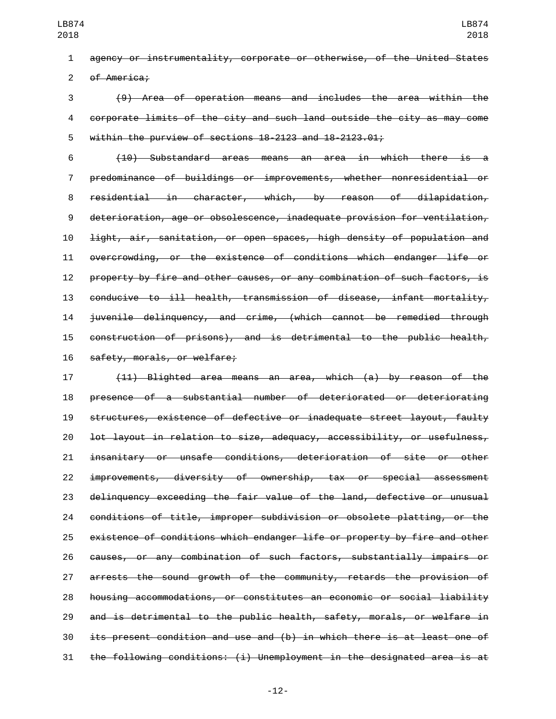agency or instrumentality, corporate or otherwise, of the United States 2 of America:

 (9) Area of operation means and includes the area within the corporate limits of the city and such land outside the city as may come within the purview of sections 18-2123 and 18-2123.01;

 (10) Substandard areas means an area in which there is a predominance of buildings or improvements, whether nonresidential or residential in character, which, by reason of dilapidation, deterioration, age or obsolescence, inadequate provision for ventilation, light, air, sanitation, or open spaces, high density of population and overcrowding, or the existence of conditions which endanger life or property by fire and other causes, or any combination of such factors, is conducive to ill health, transmission of disease, infant mortality, juvenile delinquency, and crime, (which cannot be remedied through construction of prisons), and is detrimental to the public health, 16 safety, morals, or welfare;

 (11) Blighted area means an area, which (a) by reason of the presence of a substantial number of deteriorated or deteriorating structures, existence of defective or inadequate street layout, faulty lot layout in relation to size, adequacy, accessibility, or usefulness, insanitary or unsafe conditions, deterioration of site or other improvements, diversity of ownership, tax or special assessment delinquency exceeding the fair value of the land, defective or unusual conditions of title, improper subdivision or obsolete platting, or the existence of conditions which endanger life or property by fire and other causes, or any combination of such factors, substantially impairs or arrests the sound growth of the community, retards the provision of housing accommodations, or constitutes an economic or social liability and is detrimental to the public health, safety, morals, or welfare in its present condition and use and (b) in which there is at least one of the following conditions: (i) Unemployment in the designated area is at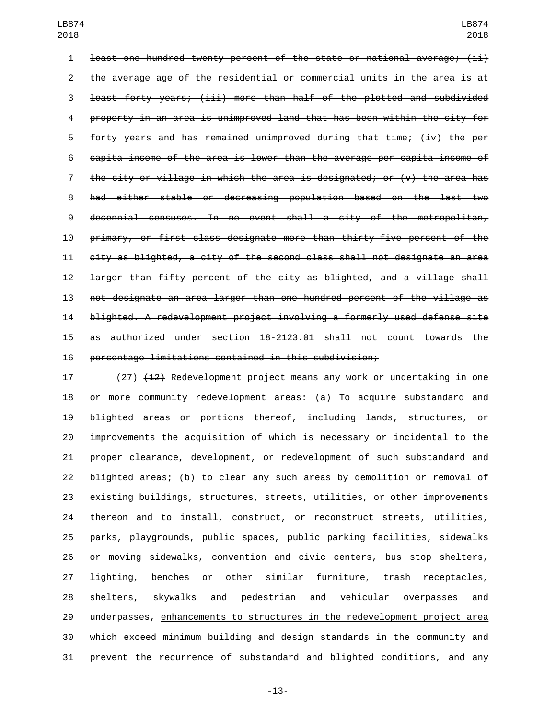least one hundred twenty percent of the state or national average; (ii) the average age of the residential or commercial units in the area is at least forty years; (iii) more than half of the plotted and subdivided property in an area is unimproved land that has been within the city for forty years and has remained unimproved during that time; (iv) the per capita income of the area is lower than the average per capita income of 7 the city or village in which the area is designated; or  $(v)$  the area has had either stable or decreasing population based on the last two decennial censuses. In no event shall a city of the metropolitan, primary, or first class designate more than thirty-five percent of the city as blighted, a city of the second class shall not designate an area larger than fifty percent of the city as blighted, and a village shall not designate an area larger than one hundred percent of the village as blighted. A redevelopment project involving a formerly used defense site as authorized under section 18-2123.01 shall not count towards the percentage limitations contained in this subdivision;

17 (27) (12) Redevelopment project means any work or undertaking in one or more community redevelopment areas: (a) To acquire substandard and blighted areas or portions thereof, including lands, structures, or improvements the acquisition of which is necessary or incidental to the proper clearance, development, or redevelopment of such substandard and blighted areas; (b) to clear any such areas by demolition or removal of existing buildings, structures, streets, utilities, or other improvements thereon and to install, construct, or reconstruct streets, utilities, parks, playgrounds, public spaces, public parking facilities, sidewalks or moving sidewalks, convention and civic centers, bus stop shelters, lighting, benches or other similar furniture, trash receptacles, shelters, skywalks and pedestrian and vehicular overpasses and 29 underpasses, enhancements to structures in the redevelopment project area which exceed minimum building and design standards in the community and prevent the recurrence of substandard and blighted conditions, and any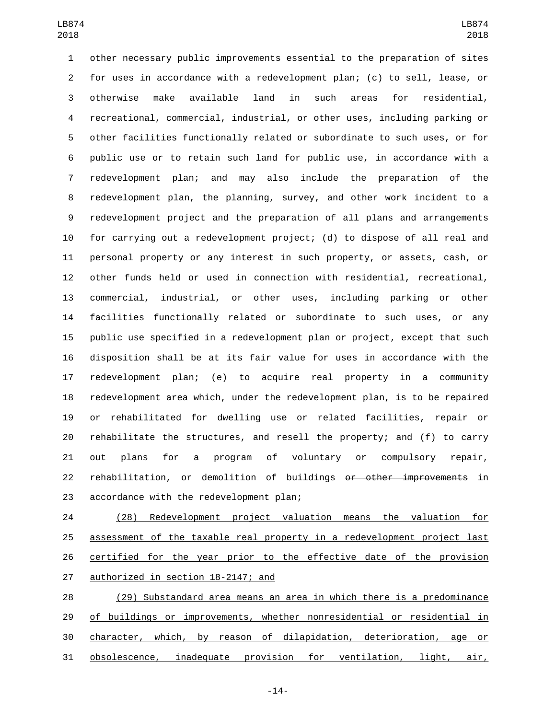other necessary public improvements essential to the preparation of sites for uses in accordance with a redevelopment plan; (c) to sell, lease, or otherwise make available land in such areas for residential, recreational, commercial, industrial, or other uses, including parking or other facilities functionally related or subordinate to such uses, or for public use or to retain such land for public use, in accordance with a redevelopment plan; and may also include the preparation of the redevelopment plan, the planning, survey, and other work incident to a redevelopment project and the preparation of all plans and arrangements for carrying out a redevelopment project; (d) to dispose of all real and personal property or any interest in such property, or assets, cash, or other funds held or used in connection with residential, recreational, commercial, industrial, or other uses, including parking or other facilities functionally related or subordinate to such uses, or any public use specified in a redevelopment plan or project, except that such disposition shall be at its fair value for uses in accordance with the redevelopment plan; (e) to acquire real property in a community redevelopment area which, under the redevelopment plan, is to be repaired or rehabilitated for dwelling use or related facilities, repair or rehabilitate the structures, and resell the property; and (f) to carry out plans for a program of voluntary or compulsory repair, rehabilitation, or demolition of buildings or other improvements in 23 accordance with the redevelopment plan;

 (28) Redevelopment project valuation means the valuation for assessment of the taxable real property in a redevelopment project last certified for the year prior to the effective date of the provision 27 authorized in section 18-2147; and

 (29) Substandard area means an area in which there is a predominance 29 of buildings or improvements, whether nonresidential or residential in character, which, by reason of dilapidation, deterioration, age or obsolescence, inadequate provision for ventilation, light, air,

-14-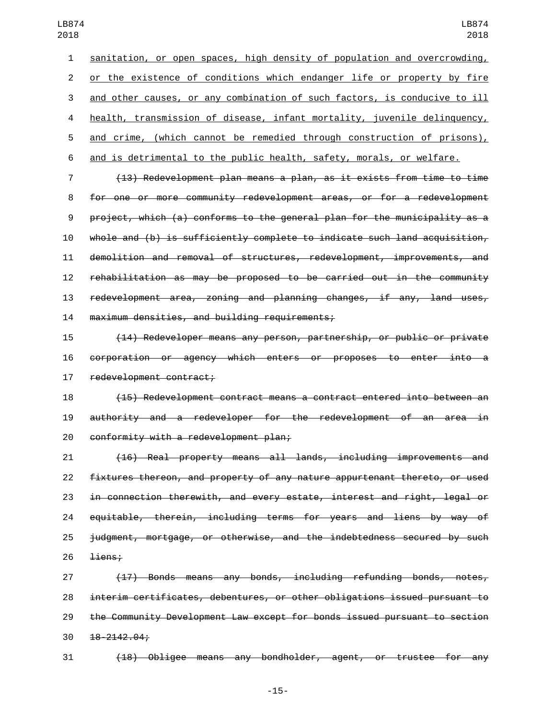sanitation, or open spaces, high density of population and overcrowding, or the existence of conditions which endanger life or property by fire and other causes, or any combination of such factors, is conducive to ill health, transmission of disease, infant mortality, juvenile delinquency, and crime, (which cannot be remedied through construction of prisons), and is detrimental to the public health, safety, morals, or welfare. (13) Redevelopment plan means a plan, as it exists from time to time

 for one or more community redevelopment areas, or for a redevelopment project, which (a) conforms to the general plan for the municipality as a whole and (b) is sufficiently complete to indicate such land acquisition, demolition and removal of structures, redevelopment, improvements, and rehabilitation as may be proposed to be carried out in the community redevelopment area, zoning and planning changes, if any, land uses, 14 maximum densities, and building requirements;

 (14) Redeveloper means any person, partnership, or public or private corporation or agency which enters or proposes to enter into a 17 redevelopment contract;

 (15) Redevelopment contract means a contract entered into between an authority and a redeveloper for the redevelopment of an area in 20 conformity with a redevelopment plan;

 (16) Real property means all lands, including improvements and 22 fixtures thereon, and property of any nature appurtenant thereto, or used in connection therewith, and every estate, interest and right, legal or equitable, therein, including terms for years and liens by way of judgment, mortgage, or otherwise, and the indebtedness secured by such  $\frac{1 \text{iens}}{2 \text{ } 2 \text{ } 3 \text{ } 4 \text{ } 2 \text{ } 5 \text{ } 2 \text{ } 2 \text{ } 3 \text{ } 4 \text{ } 5 \text{ } 6 \text{ } 7 \text{ } 7 \text{ } 8 \text{ } 7 \text{ } 8 \text{ } 9 \text{ } 1 \text{ } 1 \text{ } 1 \text{ } 1 \text{ } 1 \text{ } 1 \text{ } 1 \text{ } 1 \text{ } 1 \text{ } 1 \text{ } 1 \text{ } 1 \text{ } 1 \text{ } 1 \text{ } 1 \text{ } 1 \text{ } 1$ 

 (17) Bonds means any bonds, including refunding bonds, notes, interim certificates, debentures, or other obligations issued pursuant to the Community Development Law except for bonds issued pursuant to section  $30 \quad 18 - 2142.04;$ 

(18) Obligee means any bondholder, agent, or trustee for any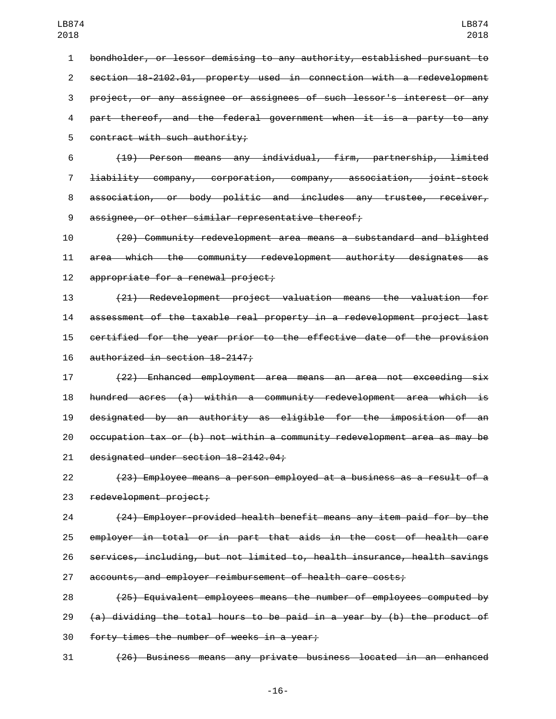bondholder, or lessor demising to any authority, established pursuant to section 18-2102.01, property used in connection with a redevelopment project, or any assignee or assignees of such lessor's interest or any part thereof, and the federal government when it is a party to any 5 contract with such authority;

 (19) Person means any individual, firm, partnership, limited liability company, corporation, company, association, joint-stock association, or body politic and includes any trustee, receiver, 9 assignee, or other similar representative thereof;

 (20) Community redevelopment area means a substandard and blighted area which the community redevelopment authority designates as 12 appropriate for a renewal project;

 (21) Redevelopment project valuation means the valuation for assessment of the taxable real property in a redevelopment project last certified for the year prior to the effective date of the provision 16 authorized in section 18-2147;

 (22) Enhanced employment area means an area not exceeding six hundred acres (a) within a community redevelopment area which is designated by an authority as eligible for the imposition of an occupation tax or (b) not within a community redevelopment area as may be 21 designated under section 18-2142.04;

 (23) Employee means a person employed at a business as a result of a 23 redevelopment project;

 (24) Employer-provided health benefit means any item paid for by the employer in total or in part that aids in the cost of health care services, including, but not limited to, health insurance, health savings accounts, and employer reimbursement of health care costs;

 (25) Equivalent employees means the number of employees computed by 29  $(a)$  dividing the total hours to be paid in a year by (b) the product of 30 forty times the number of weeks in a year;

(26) Business means any private business located in an enhanced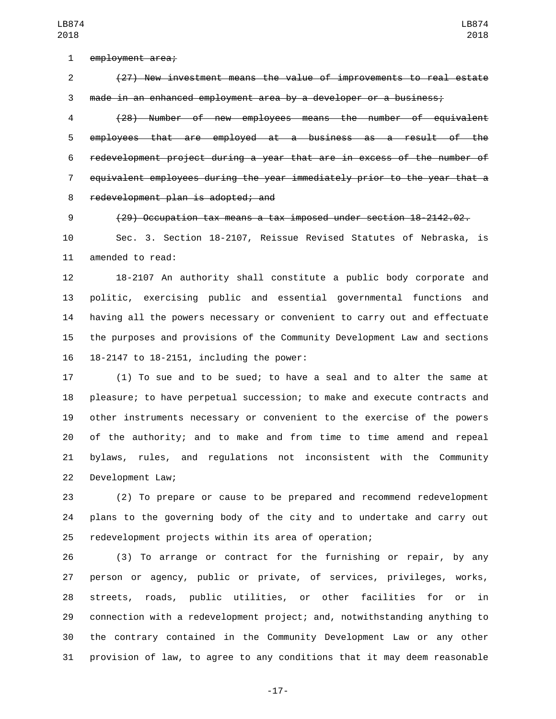1 employment area;

 (27) New investment means the value of improvements to real estate made in an enhanced employment area by a developer or a business;

 (28) Number of new employees means the number of equivalent employees that are employed at a business as a result of the redevelopment project during a year that are in excess of the number of equivalent employees during the year immediately prior to the year that a 8 redevelopment plan is adopted; and

(29) Occupation tax means a tax imposed under section 18-2142.02.

 Sec. 3. Section 18-2107, Reissue Revised Statutes of Nebraska, is 11 amended to read:

 18-2107 An authority shall constitute a public body corporate and politic, exercising public and essential governmental functions and having all the powers necessary or convenient to carry out and effectuate the purposes and provisions of the Community Development Law and sections 16 18-2147 to 18-2151, including the power:

 (1) To sue and to be sued; to have a seal and to alter the same at pleasure; to have perpetual succession; to make and execute contracts and other instruments necessary or convenient to the exercise of the powers of the authority; and to make and from time to time amend and repeal bylaws, rules, and regulations not inconsistent with the Community 22 Development Law;

 (2) To prepare or cause to be prepared and recommend redevelopment plans to the governing body of the city and to undertake and carry out redevelopment projects within its area of operation;

 (3) To arrange or contract for the furnishing or repair, by any person or agency, public or private, of services, privileges, works, streets, roads, public utilities, or other facilities for or in connection with a redevelopment project; and, notwithstanding anything to the contrary contained in the Community Development Law or any other provision of law, to agree to any conditions that it may deem reasonable

-17-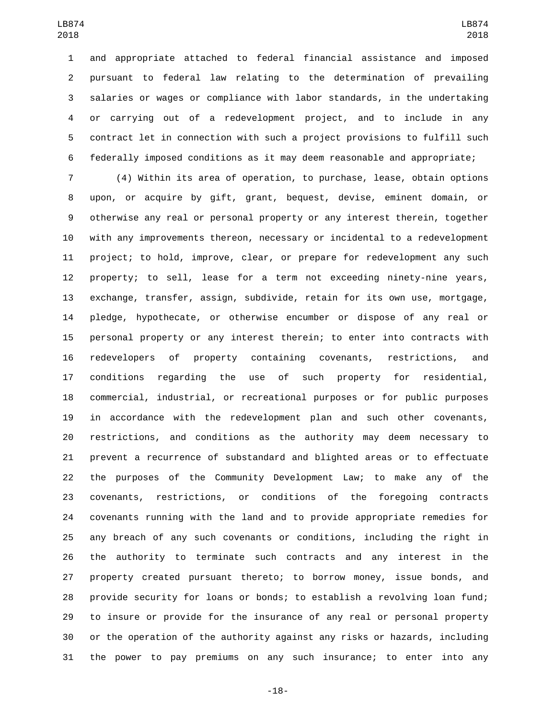and appropriate attached to federal financial assistance and imposed pursuant to federal law relating to the determination of prevailing salaries or wages or compliance with labor standards, in the undertaking or carrying out of a redevelopment project, and to include in any contract let in connection with such a project provisions to fulfill such federally imposed conditions as it may deem reasonable and appropriate;

 (4) Within its area of operation, to purchase, lease, obtain options upon, or acquire by gift, grant, bequest, devise, eminent domain, or otherwise any real or personal property or any interest therein, together with any improvements thereon, necessary or incidental to a redevelopment project; to hold, improve, clear, or prepare for redevelopment any such property; to sell, lease for a term not exceeding ninety-nine years, exchange, transfer, assign, subdivide, retain for its own use, mortgage, pledge, hypothecate, or otherwise encumber or dispose of any real or personal property or any interest therein; to enter into contracts with redevelopers of property containing covenants, restrictions, and conditions regarding the use of such property for residential, commercial, industrial, or recreational purposes or for public purposes in accordance with the redevelopment plan and such other covenants, restrictions, and conditions as the authority may deem necessary to prevent a recurrence of substandard and blighted areas or to effectuate the purposes of the Community Development Law; to make any of the covenants, restrictions, or conditions of the foregoing contracts covenants running with the land and to provide appropriate remedies for any breach of any such covenants or conditions, including the right in the authority to terminate such contracts and any interest in the property created pursuant thereto; to borrow money, issue bonds, and provide security for loans or bonds; to establish a revolving loan fund; to insure or provide for the insurance of any real or personal property or the operation of the authority against any risks or hazards, including the power to pay premiums on any such insurance; to enter into any

-18-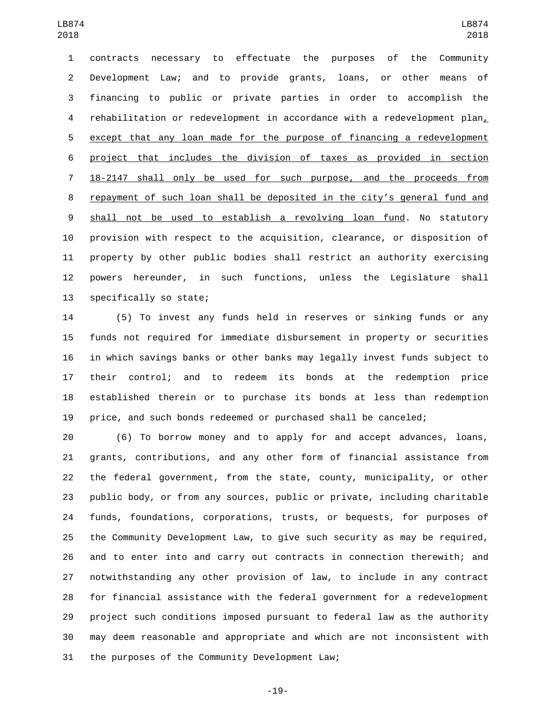contracts necessary to effectuate the purposes of the Community Development Law; and to provide grants, loans, or other means of financing to public or private parties in order to accomplish the 4 rehabilitation or redevelopment in accordance with a redevelopment plan, except that any loan made for the purpose of financing a redevelopment project that includes the division of taxes as provided in section 18-2147 shall only be used for such purpose, and the proceeds from repayment of such loan shall be deposited in the city's general fund and shall not be used to establish a revolving loan fund. No statutory provision with respect to the acquisition, clearance, or disposition of property by other public bodies shall restrict an authority exercising powers hereunder, in such functions, unless the Legislature shall 13 specifically so state;

 (5) To invest any funds held in reserves or sinking funds or any funds not required for immediate disbursement in property or securities in which savings banks or other banks may legally invest funds subject to their control; and to redeem its bonds at the redemption price established therein or to purchase its bonds at less than redemption price, and such bonds redeemed or purchased shall be canceled;

 (6) To borrow money and to apply for and accept advances, loans, grants, contributions, and any other form of financial assistance from the federal government, from the state, county, municipality, or other public body, or from any sources, public or private, including charitable funds, foundations, corporations, trusts, or bequests, for purposes of the Community Development Law, to give such security as may be required, and to enter into and carry out contracts in connection therewith; and notwithstanding any other provision of law, to include in any contract for financial assistance with the federal government for a redevelopment project such conditions imposed pursuant to federal law as the authority may deem reasonable and appropriate and which are not inconsistent with 31 the purposes of the Community Development Law;

-19-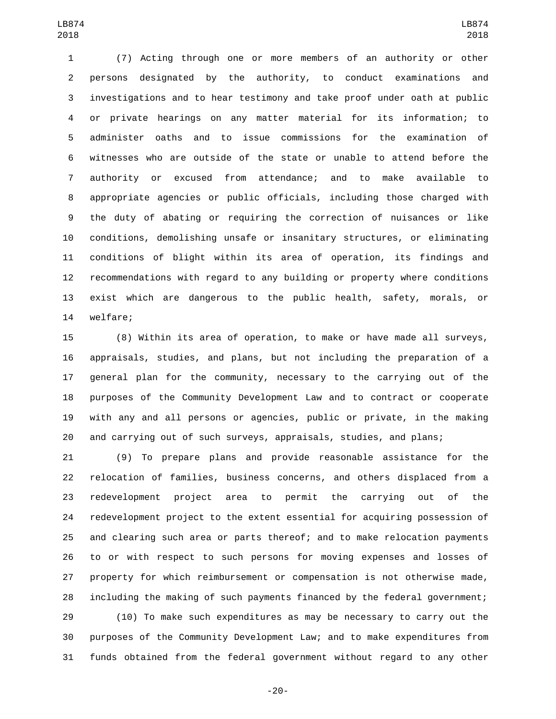(7) Acting through one or more members of an authority or other persons designated by the authority, to conduct examinations and investigations and to hear testimony and take proof under oath at public or private hearings on any matter material for its information; to administer oaths and to issue commissions for the examination of witnesses who are outside of the state or unable to attend before the authority or excused from attendance; and to make available to appropriate agencies or public officials, including those charged with the duty of abating or requiring the correction of nuisances or like conditions, demolishing unsafe or insanitary structures, or eliminating conditions of blight within its area of operation, its findings and recommendations with regard to any building or property where conditions exist which are dangerous to the public health, safety, morals, or 14 welfare;

 (8) Within its area of operation, to make or have made all surveys, appraisals, studies, and plans, but not including the preparation of a general plan for the community, necessary to the carrying out of the purposes of the Community Development Law and to contract or cooperate with any and all persons or agencies, public or private, in the making and carrying out of such surveys, appraisals, studies, and plans;

 (9) To prepare plans and provide reasonable assistance for the relocation of families, business concerns, and others displaced from a redevelopment project area to permit the carrying out of the redevelopment project to the extent essential for acquiring possession of and clearing such area or parts thereof; and to make relocation payments to or with respect to such persons for moving expenses and losses of property for which reimbursement or compensation is not otherwise made, including the making of such payments financed by the federal government;

 (10) To make such expenditures as may be necessary to carry out the purposes of the Community Development Law; and to make expenditures from funds obtained from the federal government without regard to any other

-20-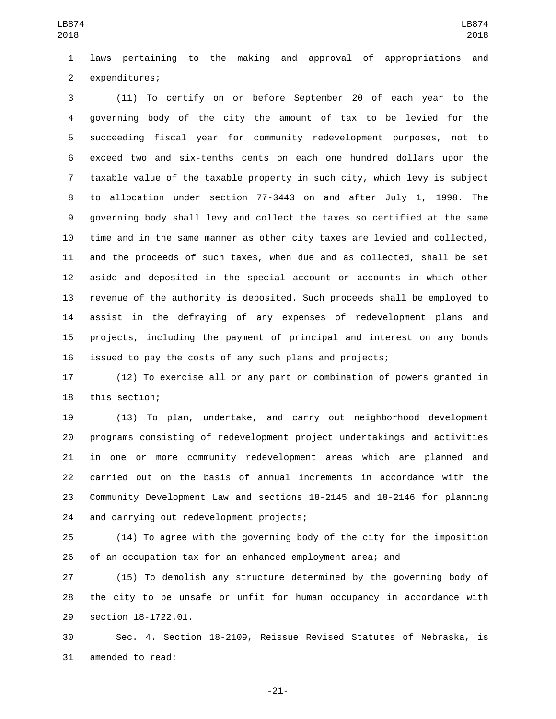laws pertaining to the making and approval of appropriations and 2 expenditures;

 (11) To certify on or before September 20 of each year to the governing body of the city the amount of tax to be levied for the succeeding fiscal year for community redevelopment purposes, not to exceed two and six-tenths cents on each one hundred dollars upon the taxable value of the taxable property in such city, which levy is subject to allocation under section 77-3443 on and after July 1, 1998. The governing body shall levy and collect the taxes so certified at the same time and in the same manner as other city taxes are levied and collected, and the proceeds of such taxes, when due and as collected, shall be set aside and deposited in the special account or accounts in which other revenue of the authority is deposited. Such proceeds shall be employed to assist in the defraying of any expenses of redevelopment plans and projects, including the payment of principal and interest on any bonds issued to pay the costs of any such plans and projects;

 (12) To exercise all or any part or combination of powers granted in 18 this section;

 (13) To plan, undertake, and carry out neighborhood development programs consisting of redevelopment project undertakings and activities in one or more community redevelopment areas which are planned and carried out on the basis of annual increments in accordance with the Community Development Law and sections 18-2145 and 18-2146 for planning 24 and carrying out redevelopment projects;

 (14) To agree with the governing body of the city for the imposition of an occupation tax for an enhanced employment area; and

 (15) To demolish any structure determined by the governing body of the city to be unsafe or unfit for human occupancy in accordance with 29 section 18-1722.01.

 Sec. 4. Section 18-2109, Reissue Revised Statutes of Nebraska, is 31 amended to read:

-21-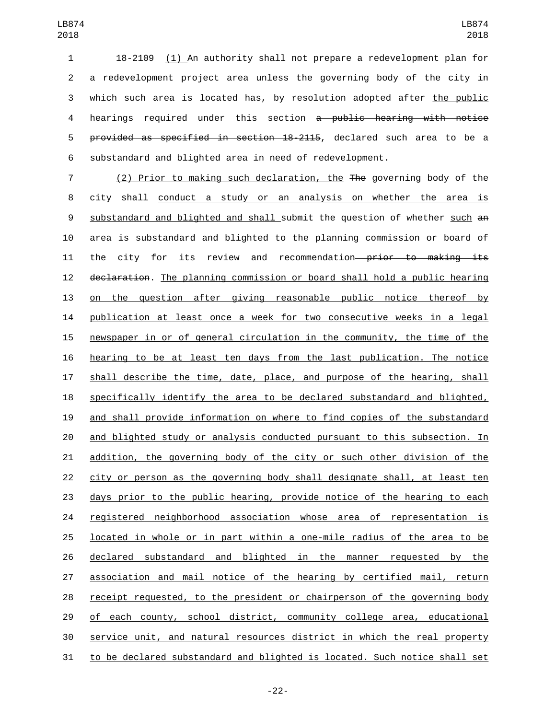18-2109 (1) An authority shall not prepare a redevelopment plan for a redevelopment project area unless the governing body of the city in which such area is located has, by resolution adopted after the public hearings required under this section a public hearing with notice provided as specified in section 18-2115, declared such area to be a substandard and blighted area in need of redevelopment.

 (2) Prior to making such declaration, the The governing body of the city shall conduct a study or an analysis on whether the area is 9 substandard and blighted and shall submit the question of whether such an area is substandard and blighted to the planning commission or board of 11 the city for its review and recommendation—prior to making its 12 declaration. The planning commission or board shall hold a public hearing 13 on the question after giving reasonable public notice thereof by publication at least once a week for two consecutive weeks in a legal newspaper in or of general circulation in the community, the time of the hearing to be at least ten days from the last publication. The notice shall describe the time, date, place, and purpose of the hearing, shall specifically identify the area to be declared substandard and blighted, and shall provide information on where to find copies of the substandard and blighted study or analysis conducted pursuant to this subsection. In addition, the governing body of the city or such other division of the city or person as the governing body shall designate shall, at least ten days prior to the public hearing, provide notice of the hearing to each registered neighborhood association whose area of representation is located in whole or in part within a one-mile radius of the area to be declared substandard and blighted in the manner requested by the association and mail notice of the hearing by certified mail, return receipt requested, to the president or chairperson of the governing body 29 of each county, school district, community college area, educational service unit, and natural resources district in which the real property to be declared substandard and blighted is located. Such notice shall set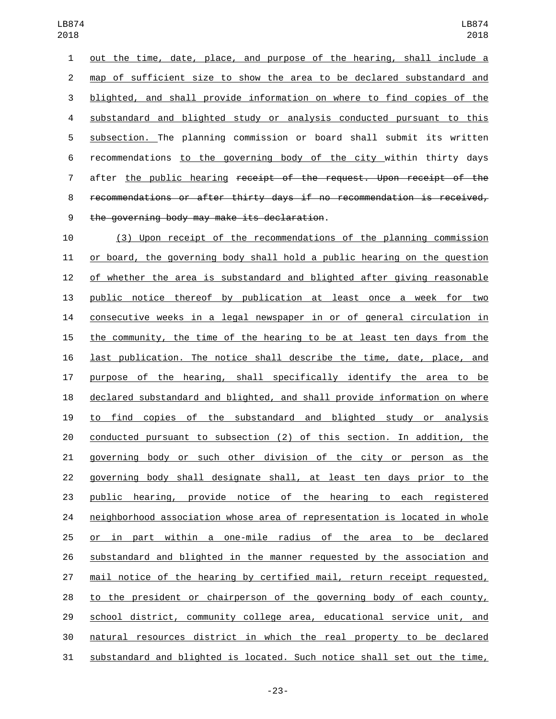out the time, date, place, and purpose of the hearing, shall include a map of sufficient size to show the area to be declared substandard and blighted, and shall provide information on where to find copies of the substandard and blighted study or analysis conducted pursuant to this subsection. The planning commission or board shall submit its written recommendations to the governing body of the city within thirty days 7 after the public hearing receipt of the request. Upon receipt of the recommendations or after thirty days if no recommendation is received, the governing body may make its declaration.9

 (3) Upon receipt of the recommendations of the planning commission or board, the governing body shall hold a public hearing on the question of whether the area is substandard and blighted after giving reasonable public notice thereof by publication at least once a week for two consecutive weeks in a legal newspaper in or of general circulation in the community, the time of the hearing to be at least ten days from the last publication. The notice shall describe the time, date, place, and purpose of the hearing, shall specifically identify the area to be declared substandard and blighted, and shall provide information on where to find copies of the substandard and blighted study or analysis conducted pursuant to subsection (2) of this section. In addition, the governing body or such other division of the city or person as the governing body shall designate shall, at least ten days prior to the public hearing, provide notice of the hearing to each registered neighborhood association whose area of representation is located in whole or in part within a one-mile radius of the area to be declared substandard and blighted in the manner requested by the association and mail notice of the hearing by certified mail, return receipt requested, to the president or chairperson of the governing body of each county, school district, community college area, educational service unit, and natural resources district in which the real property to be declared substandard and blighted is located. Such notice shall set out the time,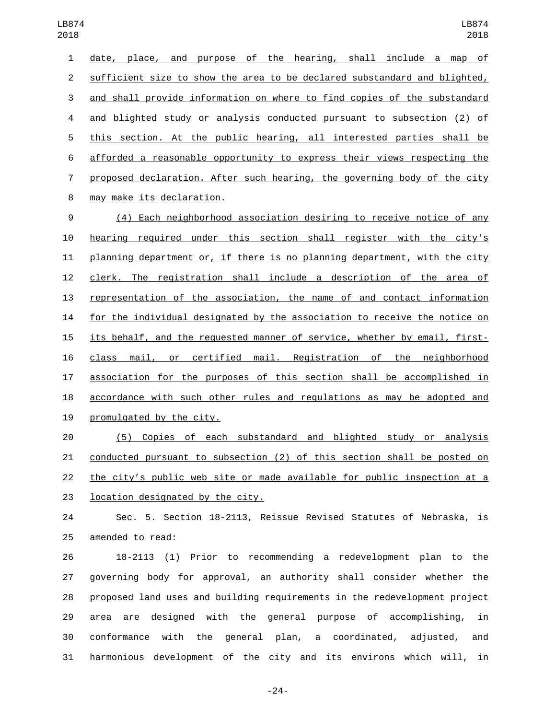date, place, and purpose of the hearing, shall include a map of sufficient size to show the area to be declared substandard and blighted, and shall provide information on where to find copies of the substandard and blighted study or analysis conducted pursuant to subsection (2) of this section. At the public hearing, all interested parties shall be afforded a reasonable opportunity to express their views respecting the proposed declaration. After such hearing, the governing body of the city may make its declaration.8 (4) Each neighborhood association desiring to receive notice of any hearing required under this section shall register with the city's planning department or, if there is no planning department, with the city clerk. The registration shall include a description of the area of representation of the association, the name of and contact information for the individual designated by the association to receive the notice on its behalf, and the requested manner of service, whether by email, first- class mail, or certified mail. Registration of the neighborhood association for the purposes of this section shall be accomplished in accordance with such other rules and regulations as may be adopted and 19 promulgated by the city.

 (5) Copies of each substandard and blighted study or analysis conducted pursuant to subsection (2) of this section shall be posted on the city's public web site or made available for public inspection at a 23 location designated by the city.

 Sec. 5. Section 18-2113, Reissue Revised Statutes of Nebraska, is 25 amended to read:

 18-2113 (1) Prior to recommending a redevelopment plan to the governing body for approval, an authority shall consider whether the proposed land uses and building requirements in the redevelopment project area are designed with the general purpose of accomplishing, in conformance with the general plan, a coordinated, adjusted, and harmonious development of the city and its environs which will, in

-24-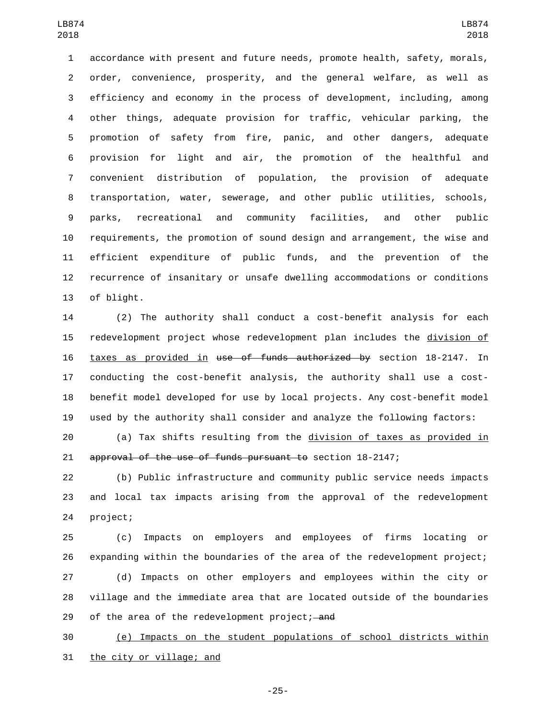accordance with present and future needs, promote health, safety, morals, order, convenience, prosperity, and the general welfare, as well as efficiency and economy in the process of development, including, among other things, adequate provision for traffic, vehicular parking, the promotion of safety from fire, panic, and other dangers, adequate provision for light and air, the promotion of the healthful and convenient distribution of population, the provision of adequate transportation, water, sewerage, and other public utilities, schools, parks, recreational and community facilities, and other public requirements, the promotion of sound design and arrangement, the wise and efficient expenditure of public funds, and the prevention of the recurrence of insanitary or unsafe dwelling accommodations or conditions 13 of blight.

 (2) The authority shall conduct a cost-benefit analysis for each redevelopment project whose redevelopment plan includes the division of taxes as provided in use of funds authorized by section 18-2147. In conducting the cost-benefit analysis, the authority shall use a cost- benefit model developed for use by local projects. Any cost-benefit model used by the authority shall consider and analyze the following factors:

 (a) Tax shifts resulting from the division of taxes as provided in approval of the use of funds pursuant to section 18-2147;

 (b) Public infrastructure and community public service needs impacts and local tax impacts arising from the approval of the redevelopment 24 project;

 (c) Impacts on employers and employees of firms locating or expanding within the boundaries of the area of the redevelopment project; (d) Impacts on other employers and employees within the city or village and the immediate area that are located outside of the boundaries 29 of the area of the redevelopment project; and

 (e) Impacts on the student populations of school districts within 31 the city or village; and

-25-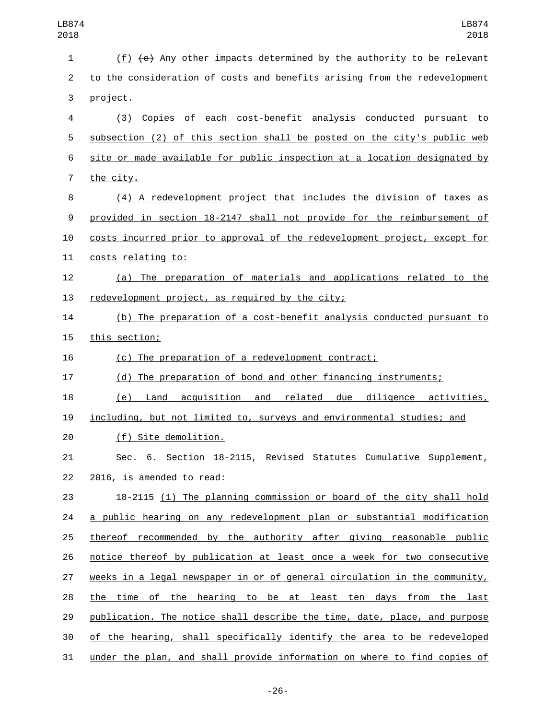(f) (e) Any other impacts determined by the authority to be relevant to the consideration of costs and benefits arising from the redevelopment 3 project. (3) Copies of each cost-benefit analysis conducted pursuant to subsection (2) of this section shall be posted on the city's public web site or made available for public inspection at a location designated by 7 the city. (4) A redevelopment project that includes the division of taxes as provided in section 18-2147 shall not provide for the reimbursement of costs incurred prior to approval of the redevelopment project, except for 11 costs relating to: (a) The preparation of materials and applications related to the 13 redevelopment project, as required by the city; (b) The preparation of a cost-benefit analysis conducted pursuant to 15 this section; (c) The preparation of a redevelopment contract; (d) The preparation of bond and other financing instruments; (e) Land acquisition and related due diligence activities, including, but not limited to, surveys and environmental studies; and (f) Site demolition.20 Sec. 6. Section 18-2115, Revised Statutes Cumulative Supplement, 22 2016, is amended to read: 18-2115 (1) The planning commission or board of the city shall hold a public hearing on any redevelopment plan or substantial modification thereof recommended by the authority after giving reasonable public notice thereof by publication at least once a week for two consecutive weeks in a legal newspaper in or of general circulation in the community, the time of the hearing to be at least ten days from the last publication. The notice shall describe the time, date, place, and purpose of the hearing, shall specifically identify the area to be redeveloped under the plan, and shall provide information on where to find copies of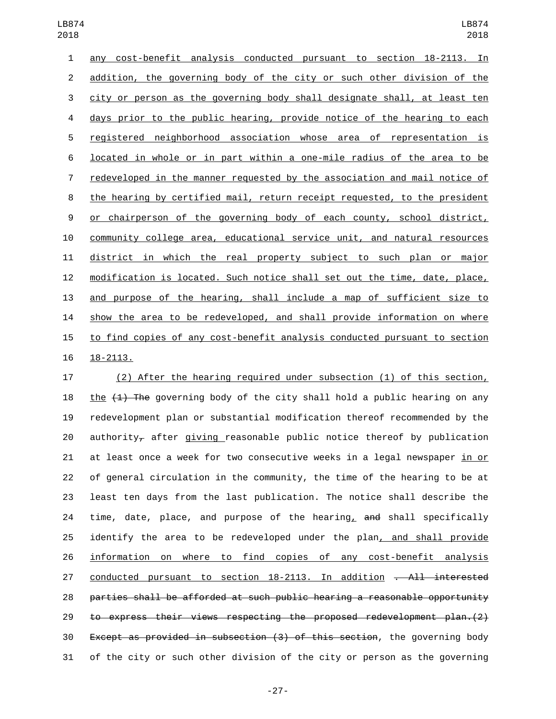any cost-benefit analysis conducted pursuant to section 18-2113. In addition, the governing body of the city or such other division of the city or person as the governing body shall designate shall, at least ten days prior to the public hearing, provide notice of the hearing to each registered neighborhood association whose area of representation is located in whole or in part within a one-mile radius of the area to be redeveloped in the manner requested by the association and mail notice of the hearing by certified mail, return receipt requested, to the president or chairperson of the governing body of each county, school district, community college area, educational service unit, and natural resources district in which the real property subject to such plan or major modification is located. Such notice shall set out the time, date, place, and purpose of the hearing, shall include a map of sufficient size to show the area to be redeveloped, and shall provide information on where to find copies of any cost-benefit analysis conducted pursuant to section 16 18-2113.

 (2) After the hearing required under subsection (1) of this section, 18 the  $(1)$  The governing body of the city shall hold a public hearing on any redevelopment plan or substantial modification thereof recommended by the 20 authority<sub> $\tau$ </sub> after giving reasonable public notice thereof by publication at least once a week for two consecutive weeks in a legal newspaper in or of general circulation in the community, the time of the hearing to be at least ten days from the last publication. The notice shall describe the 24 time, date, place, and purpose of the hearing, and shall specifically identify the area to be redeveloped under the plan, and shall provide information on where to find copies of any cost-benefit analysis 27 conducted pursuant to section 18-2113. In addition <del>. All interested</del> parties shall be afforded at such public hearing a reasonable opportunity to express their views respecting the proposed redevelopment plan.(2) Except as provided in subsection (3) of this section, the governing body of the city or such other division of the city or person as the governing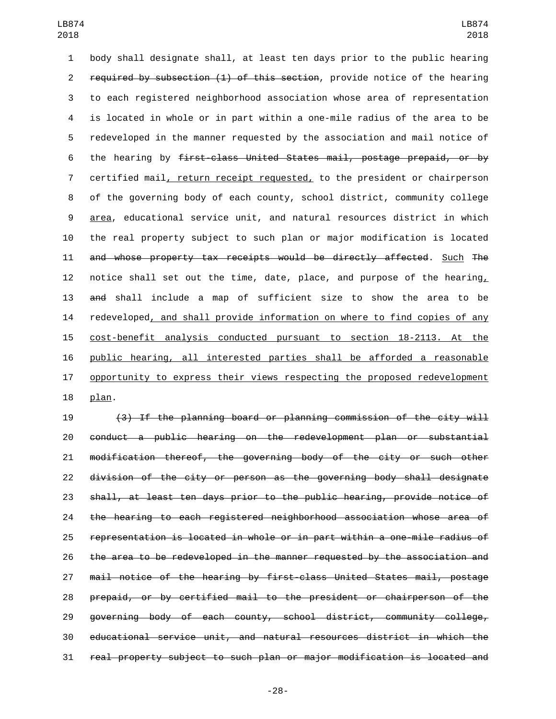body shall designate shall, at least ten days prior to the public hearing 2 required by subsection (1) of this section, provide notice of the hearing to each registered neighborhood association whose area of representation is located in whole or in part within a one-mile radius of the area to be redeveloped in the manner requested by the association and mail notice of the hearing by first-class United States mail, postage prepaid, or by certified mail, return receipt requested, to the president or chairperson of the governing body of each county, school district, community college area, educational service unit, and natural resources district in which the real property subject to such plan or major modification is located and whose property tax receipts would be directly affected. Such The notice shall set out the time, date, place, and purpose of the hearing, and shall include a map of sufficient size to show the area to be 14 redeveloped, and shall provide information on where to find copies of any cost-benefit analysis conducted pursuant to section 18-2113. At the public hearing, all interested parties shall be afforded a reasonable 17 opportunity to express their views respecting the proposed redevelopment 18 plan.

 (3) If the planning board or planning commission of the city will conduct a public hearing on the redevelopment plan or substantial modification thereof, the governing body of the city or such other division of the city or person as the governing body shall designate shall, at least ten days prior to the public hearing, provide notice of the hearing to each registered neighborhood association whose area of representation is located in whole or in part within a one-mile radius of the area to be redeveloped in the manner requested by the association and mail notice of the hearing by first-class United States mail, postage prepaid, or by certified mail to the president or chairperson of the governing body of each county, school district, community college, educational service unit, and natural resources district in which the real property subject to such plan or major modification is located and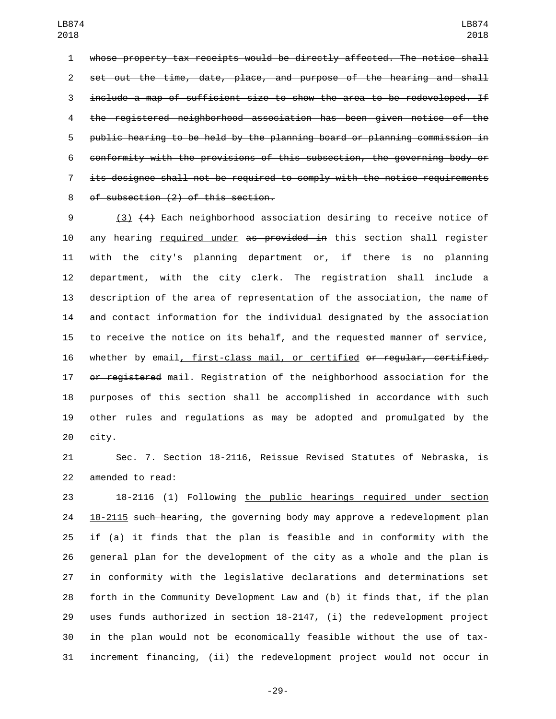whose property tax receipts would be directly affected. The notice shall 2 set out the time, date, place, and purpose of the hearing and shall include a map of sufficient size to show the area to be redeveloped. If the registered neighborhood association has been given notice of the public hearing to be held by the planning board or planning commission in conformity with the provisions of this subsection, the governing body or its designee shall not be required to comply with the notice requirements 8 of subsection (2) of this section.

 (3) (4) Each neighborhood association desiring to receive notice of 10 any hearing required under as provided in this section shall register with the city's planning department or, if there is no planning department, with the city clerk. The registration shall include a description of the area of representation of the association, the name of and contact information for the individual designated by the association to receive the notice on its behalf, and the requested manner of service, whether by email, first-class mail, or certified or regular, certified, 17 or registered mail. Registration of the neighborhood association for the purposes of this section shall be accomplished in accordance with such other rules and regulations as may be adopted and promulgated by the 20 city.

 Sec. 7. Section 18-2116, Reissue Revised Statutes of Nebraska, is 22 amended to read:

 18-2116 (1) Following the public hearings required under section 24 18-2115 such hearing, the governing body may approve a redevelopment plan if (a) it finds that the plan is feasible and in conformity with the general plan for the development of the city as a whole and the plan is in conformity with the legislative declarations and determinations set forth in the Community Development Law and (b) it finds that, if the plan uses funds authorized in section 18-2147, (i) the redevelopment project in the plan would not be economically feasible without the use of tax-increment financing, (ii) the redevelopment project would not occur in

-29-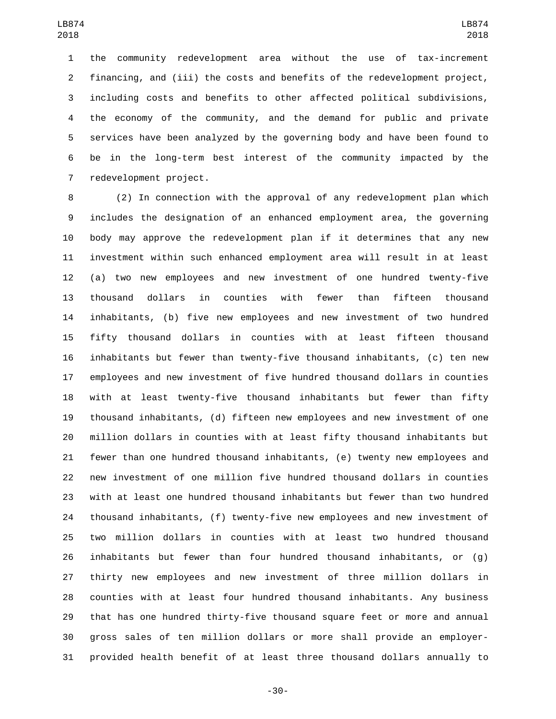the community redevelopment area without the use of tax-increment financing, and (iii) the costs and benefits of the redevelopment project, including costs and benefits to other affected political subdivisions, the economy of the community, and the demand for public and private services have been analyzed by the governing body and have been found to be in the long-term best interest of the community impacted by the 7 redevelopment project.

 (2) In connection with the approval of any redevelopment plan which includes the designation of an enhanced employment area, the governing body may approve the redevelopment plan if it determines that any new investment within such enhanced employment area will result in at least (a) two new employees and new investment of one hundred twenty-five thousand dollars in counties with fewer than fifteen thousand inhabitants, (b) five new employees and new investment of two hundred fifty thousand dollars in counties with at least fifteen thousand inhabitants but fewer than twenty-five thousand inhabitants, (c) ten new employees and new investment of five hundred thousand dollars in counties with at least twenty-five thousand inhabitants but fewer than fifty thousand inhabitants, (d) fifteen new employees and new investment of one million dollars in counties with at least fifty thousand inhabitants but fewer than one hundred thousand inhabitants, (e) twenty new employees and new investment of one million five hundred thousand dollars in counties with at least one hundred thousand inhabitants but fewer than two hundred thousand inhabitants, (f) twenty-five new employees and new investment of two million dollars in counties with at least two hundred thousand inhabitants but fewer than four hundred thousand inhabitants, or (g) thirty new employees and new investment of three million dollars in counties with at least four hundred thousand inhabitants. Any business that has one hundred thirty-five thousand square feet or more and annual gross sales of ten million dollars or more shall provide an employer-provided health benefit of at least three thousand dollars annually to

-30-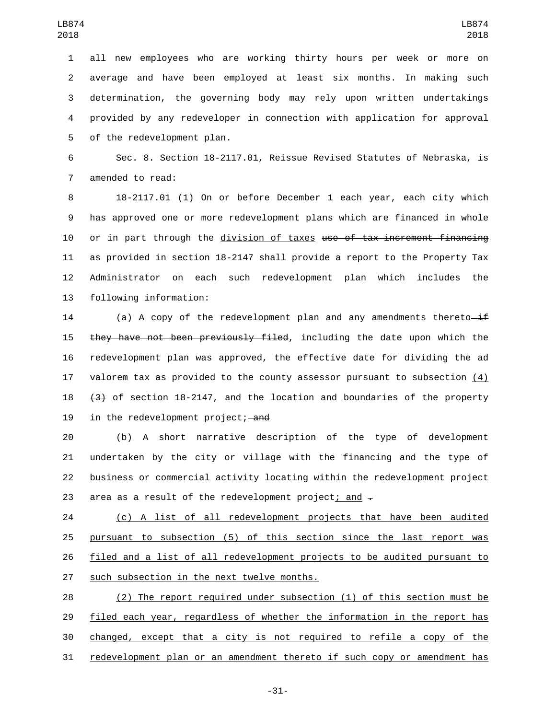all new employees who are working thirty hours per week or more on average and have been employed at least six months. In making such determination, the governing body may rely upon written undertakings provided by any redeveloper in connection with application for approval 5 of the redevelopment plan.

 Sec. 8. Section 18-2117.01, Reissue Revised Statutes of Nebraska, is 7 amended to read:

 18-2117.01 (1) On or before December 1 each year, each city which has approved one or more redevelopment plans which are financed in whole 10 or in part through the division of taxes use of tax-increment financing as provided in section 18-2147 shall provide a report to the Property Tax Administrator on each such redevelopment plan which includes the 13 following information:

14 (a) A copy of the redevelopment plan and any amendments thereto $-i$ f 15 they have not been previously filed, including the date upon which the redevelopment plan was approved, the effective date for dividing the ad valorem tax as provided to the county assessor pursuant to subsection (4) (3) of section 18-2147, and the location and boundaries of the property 19 in the redevelopment project; and

 (b) A short narrative description of the type of development undertaken by the city or village with the financing and the type of business or commercial activity locating within the redevelopment project 23 area as a result of the redevelopment project; and  $\overline{z}$ 

 (c) A list of all redevelopment projects that have been audited pursuant to subsection (5) of this section since the last report was filed and a list of all redevelopment projects to be audited pursuant to 27 such subsection in the next twelve months.

 (2) The report required under subsection (1) of this section must be filed each year, regardless of whether the information in the report has changed, except that a city is not required to refile a copy of the redevelopment plan or an amendment thereto if such copy or amendment has

-31-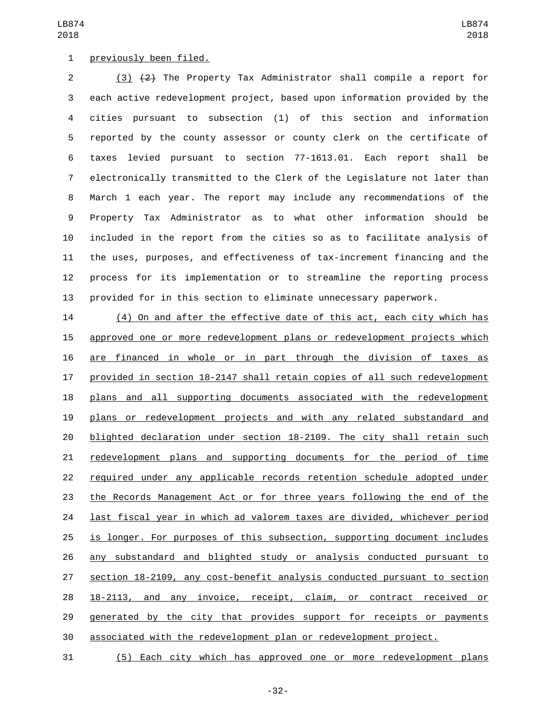## 1 previously been filed.

 (3) (2) The Property Tax Administrator shall compile a report for each active redevelopment project, based upon information provided by the cities pursuant to subsection (1) of this section and information reported by the county assessor or county clerk on the certificate of taxes levied pursuant to section 77-1613.01. Each report shall be electronically transmitted to the Clerk of the Legislature not later than March 1 each year. The report may include any recommendations of the Property Tax Administrator as to what other information should be included in the report from the cities so as to facilitate analysis of the uses, purposes, and effectiveness of tax-increment financing and the process for its implementation or to streamline the reporting process provided for in this section to eliminate unnecessary paperwork.

 (4) On and after the effective date of this act, each city which has approved one or more redevelopment plans or redevelopment projects which are financed in whole or in part through the division of taxes as provided in section 18-2147 shall retain copies of all such redevelopment plans and all supporting documents associated with the redevelopment plans or redevelopment projects and with any related substandard and blighted declaration under section 18-2109. The city shall retain such redevelopment plans and supporting documents for the period of time required under any applicable records retention schedule adopted under the Records Management Act or for three years following the end of the last fiscal year in which ad valorem taxes are divided, whichever period is longer. For purposes of this subsection, supporting document includes any substandard and blighted study or analysis conducted pursuant to section 18-2109, any cost-benefit analysis conducted pursuant to section 18-2113, and any invoice, receipt, claim, or contract received or generated by the city that provides support for receipts or payments associated with the redevelopment plan or redevelopment project.

(5) Each city which has approved one or more redevelopment plans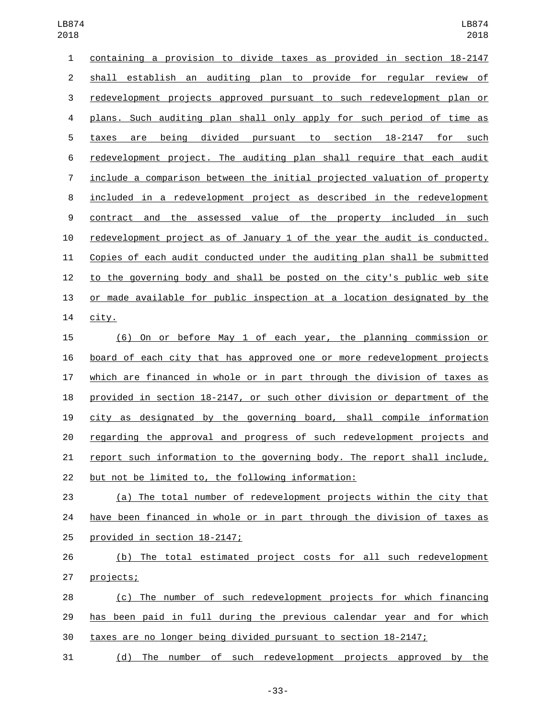| 1              | containing a provision to divide taxes as provided in section 18-2147     |
|----------------|---------------------------------------------------------------------------|
| $\overline{2}$ | shall establish an auditing plan to provide for regular review of         |
| 3              | redevelopment projects approved pursuant to such redevelopment plan or    |
| 4              | plans. Such auditing plan shall only apply for such period of time as     |
| 5              | being divided pursuant to section 18-2147<br>for<br>such<br>taxes<br>are  |
| 6              | redevelopment project. The auditing plan shall require that each audit    |
| 7              | include a comparison between the initial projected valuation of property  |
| 8              | included in a redevelopment project as described in the redevelopment     |
| 9              | the assessed value of the property included in such<br>contract and       |
| 10             | redevelopment project as of January 1 of the year the audit is conducted. |
| 11             | Copies of each audit conducted under the auditing plan shall be submitted |
| 12             | to the governing body and shall be posted on the city's public web site   |
| 13             | or made available for public inspection at a location designated by the   |
| 14             | city.                                                                     |
| 15             | On or before May 1 of each year, the planning commission or<br>(6)        |
| 16             | board of each city that has approved one or more redevelopment projects   |
| 17             | which are financed in whole or in part through the division of taxes as   |
| 18             | provided in section 18-2147, or such other division or department of the  |
| 19             | city as designated by the governing board, shall compile information      |
| 20             | regarding the approval and progress of such redevelopment projects and    |
| 21             | report such information to the governing body. The report shall include,  |
| 22             | but not be limited to, the following information:                         |
| 23             | (a) The total number of redevelopment projects within the city that       |
| 24             | have been financed in whole or in part through the division of taxes as   |
| 25             | provided in section 18-2147;                                              |
|                |                                                                           |

 (b) The total estimated project costs for all such redevelopment 27 projects;

 (c) The number of such redevelopment projects for which financing has been paid in full during the previous calendar year and for which taxes are no longer being divided pursuant to section 18-2147;

(d) The number of such redevelopment projects approved by the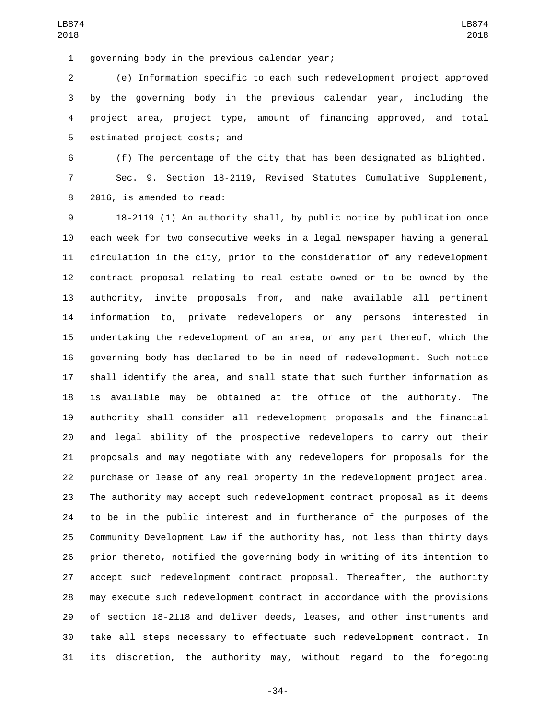1 governing body in the previous calendar year;

 (e) Information specific to each such redevelopment project approved by the governing body in the previous calendar year, including the project area, project type, amount of financing approved, and total 5 estimated project costs; and

 (f) The percentage of the city that has been designated as blighted. Sec. 9. Section 18-2119, Revised Statutes Cumulative Supplement, 8 2016, is amended to read:

 18-2119 (1) An authority shall, by public notice by publication once each week for two consecutive weeks in a legal newspaper having a general circulation in the city, prior to the consideration of any redevelopment contract proposal relating to real estate owned or to be owned by the authority, invite proposals from, and make available all pertinent information to, private redevelopers or any persons interested in undertaking the redevelopment of an area, or any part thereof, which the governing body has declared to be in need of redevelopment. Such notice shall identify the area, and shall state that such further information as is available may be obtained at the office of the authority. The authority shall consider all redevelopment proposals and the financial and legal ability of the prospective redevelopers to carry out their proposals and may negotiate with any redevelopers for proposals for the purchase or lease of any real property in the redevelopment project area. The authority may accept such redevelopment contract proposal as it deems to be in the public interest and in furtherance of the purposes of the Community Development Law if the authority has, not less than thirty days prior thereto, notified the governing body in writing of its intention to accept such redevelopment contract proposal. Thereafter, the authority may execute such redevelopment contract in accordance with the provisions of section 18-2118 and deliver deeds, leases, and other instruments and take all steps necessary to effectuate such redevelopment contract. In its discretion, the authority may, without regard to the foregoing

-34-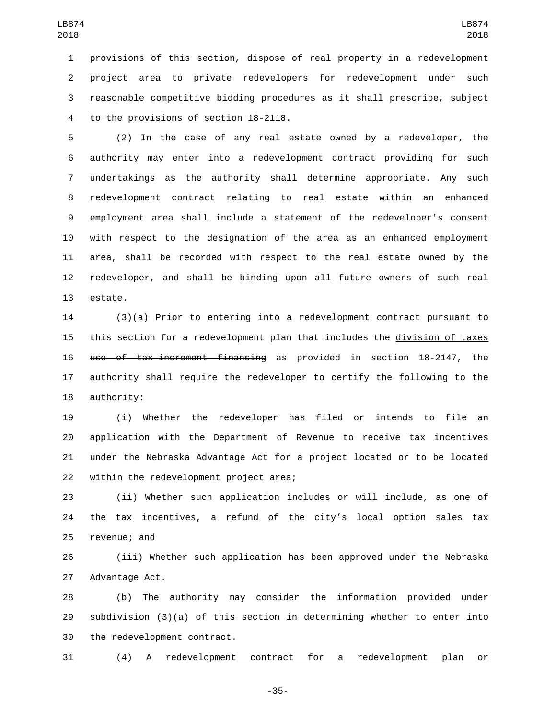provisions of this section, dispose of real property in a redevelopment project area to private redevelopers for redevelopment under such reasonable competitive bidding procedures as it shall prescribe, subject 4 to the provisions of section 18-2118.

 (2) In the case of any real estate owned by a redeveloper, the authority may enter into a redevelopment contract providing for such undertakings as the authority shall determine appropriate. Any such redevelopment contract relating to real estate within an enhanced employment area shall include a statement of the redeveloper's consent with respect to the designation of the area as an enhanced employment area, shall be recorded with respect to the real estate owned by the redeveloper, and shall be binding upon all future owners of such real 13 estate.

 (3)(a) Prior to entering into a redevelopment contract pursuant to this section for a redevelopment plan that includes the division of taxes use of tax-increment financing as provided in section 18-2147, the authority shall require the redeveloper to certify the following to the 18 authority:

 (i) Whether the redeveloper has filed or intends to file an application with the Department of Revenue to receive tax incentives under the Nebraska Advantage Act for a project located or to be located 22 within the redevelopment project area;

 (ii) Whether such application includes or will include, as one of the tax incentives, a refund of the city's local option sales tax 25 revenue; and

 (iii) Whether such application has been approved under the Nebraska 27 Advantage Act.

 (b) The authority may consider the information provided under subdivision (3)(a) of this section in determining whether to enter into 30 the redevelopment contract.

(4) A redevelopment contract for a redevelopment plan or

-35-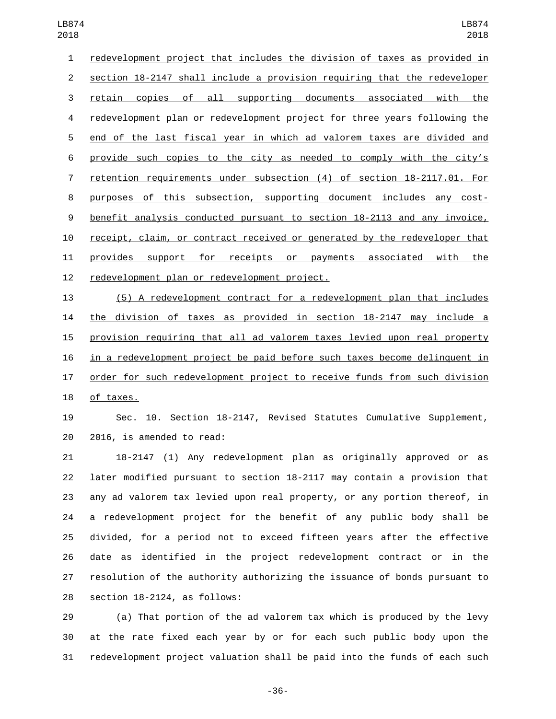redevelopment project that includes the division of taxes as provided in section 18-2147 shall include a provision requiring that the redeveloper retain copies of all supporting documents associated with the redevelopment plan or redevelopment project for three years following the end of the last fiscal year in which ad valorem taxes are divided and provide such copies to the city as needed to comply with the city's retention requirements under subsection (4) of section 18-2117.01. For purposes of this subsection, supporting document includes any cost- benefit analysis conducted pursuant to section 18-2113 and any invoice, receipt, claim, or contract received or generated by the redeveloper that 11 provides support for receipts or payments associated with the 12 redevelopment plan or redevelopment project.

 (5) A redevelopment contract for a redevelopment plan that includes the division of taxes as provided in section 18-2147 may include a provision requiring that all ad valorem taxes levied upon real property in a redevelopment project be paid before such taxes become delinquent in order for such redevelopment project to receive funds from such division 18 of taxes.

 Sec. 10. Section 18-2147, Revised Statutes Cumulative Supplement, 20 2016, is amended to read:

 18-2147 (1) Any redevelopment plan as originally approved or as later modified pursuant to section 18-2117 may contain a provision that any ad valorem tax levied upon real property, or any portion thereof, in a redevelopment project for the benefit of any public body shall be divided, for a period not to exceed fifteen years after the effective date as identified in the project redevelopment contract or in the resolution of the authority authorizing the issuance of bonds pursuant to section  $18-2124$ , as follows:

 (a) That portion of the ad valorem tax which is produced by the levy at the rate fixed each year by or for each such public body upon the redevelopment project valuation shall be paid into the funds of each such

-36-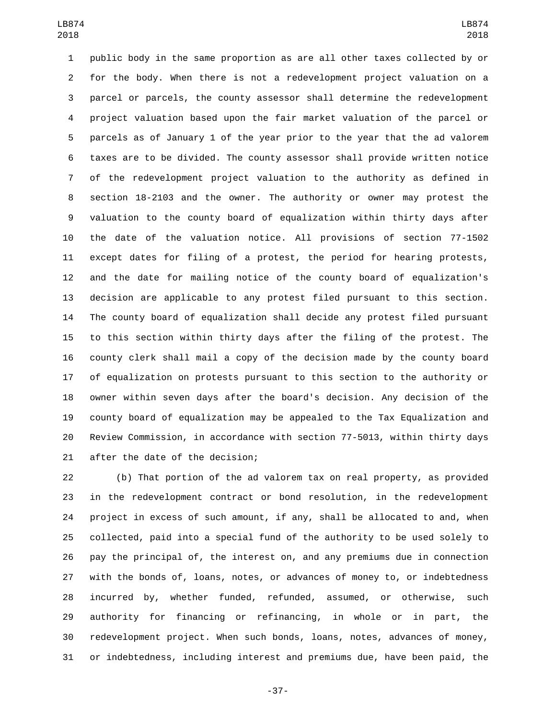public body in the same proportion as are all other taxes collected by or for the body. When there is not a redevelopment project valuation on a parcel or parcels, the county assessor shall determine the redevelopment project valuation based upon the fair market valuation of the parcel or parcels as of January 1 of the year prior to the year that the ad valorem taxes are to be divided. The county assessor shall provide written notice of the redevelopment project valuation to the authority as defined in section 18-2103 and the owner. The authority or owner may protest the valuation to the county board of equalization within thirty days after the date of the valuation notice. All provisions of section 77-1502 except dates for filing of a protest, the period for hearing protests, and the date for mailing notice of the county board of equalization's decision are applicable to any protest filed pursuant to this section. The county board of equalization shall decide any protest filed pursuant to this section within thirty days after the filing of the protest. The county clerk shall mail a copy of the decision made by the county board of equalization on protests pursuant to this section to the authority or owner within seven days after the board's decision. Any decision of the county board of equalization may be appealed to the Tax Equalization and Review Commission, in accordance with section 77-5013, within thirty days 21 after the date of the decision;

 (b) That portion of the ad valorem tax on real property, as provided in the redevelopment contract or bond resolution, in the redevelopment project in excess of such amount, if any, shall be allocated to and, when collected, paid into a special fund of the authority to be used solely to pay the principal of, the interest on, and any premiums due in connection with the bonds of, loans, notes, or advances of money to, or indebtedness incurred by, whether funded, refunded, assumed, or otherwise, such authority for financing or refinancing, in whole or in part, the redevelopment project. When such bonds, loans, notes, advances of money, or indebtedness, including interest and premiums due, have been paid, the

-37-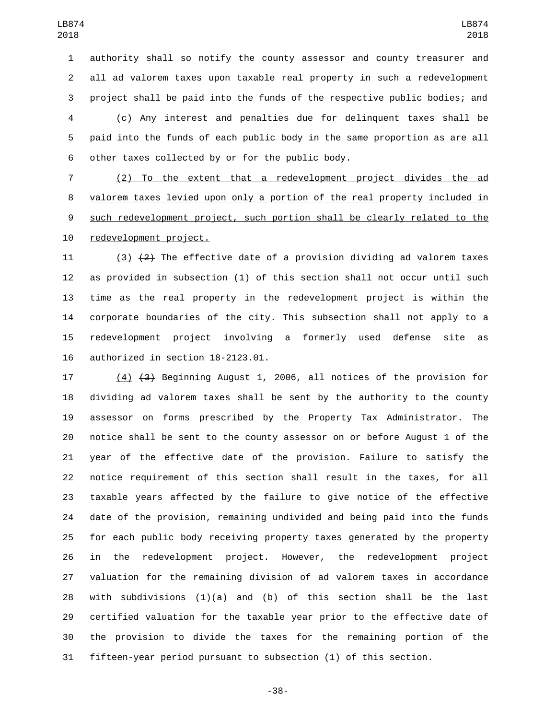authority shall so notify the county assessor and county treasurer and all ad valorem taxes upon taxable real property in such a redevelopment project shall be paid into the funds of the respective public bodies; and (c) Any interest and penalties due for delinquent taxes shall be paid into the funds of each public body in the same proportion as are all 6 other taxes collected by or for the public body.

 (2) To the extent that a redevelopment project divides the ad valorem taxes levied upon only a portion of the real property included in such redevelopment project, such portion shall be clearly related to the 10 redevelopment project.

 $(3)$   $(2)$  The effective date of a provision dividing ad valorem taxes as provided in subsection (1) of this section shall not occur until such time as the real property in the redevelopment project is within the corporate boundaries of the city. This subsection shall not apply to a redevelopment project involving a formerly used defense site as authorized in section  $18-2123.01$ .

 (4) (3) Beginning August 1, 2006, all notices of the provision for dividing ad valorem taxes shall be sent by the authority to the county assessor on forms prescribed by the Property Tax Administrator. The notice shall be sent to the county assessor on or before August 1 of the year of the effective date of the provision. Failure to satisfy the notice requirement of this section shall result in the taxes, for all taxable years affected by the failure to give notice of the effective date of the provision, remaining undivided and being paid into the funds for each public body receiving property taxes generated by the property in the redevelopment project. However, the redevelopment project valuation for the remaining division of ad valorem taxes in accordance 28 with subdivisions  $(1)(a)$  and  $(b)$  of this section shall be the last certified valuation for the taxable year prior to the effective date of the provision to divide the taxes for the remaining portion of the fifteen-year period pursuant to subsection (1) of this section.

-38-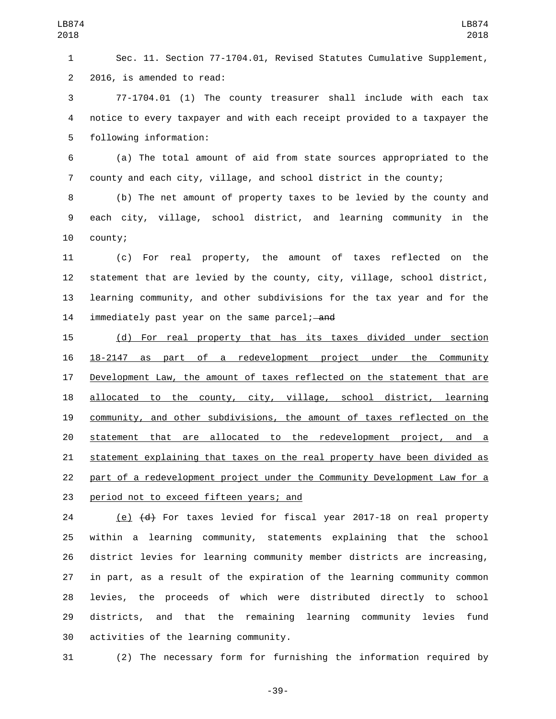Sec. 11. Section 77-1704.01, Revised Statutes Cumulative Supplement, 2 2016, is amended to read:

 77-1704.01 (1) The county treasurer shall include with each tax notice to every taxpayer and with each receipt provided to a taxpayer the 5 following information:

 (a) The total amount of aid from state sources appropriated to the county and each city, village, and school district in the county;

 (b) The net amount of property taxes to be levied by the county and each city, village, school district, and learning community in the 10 county;

 (c) For real property, the amount of taxes reflected on the statement that are levied by the county, city, village, school district, learning community, and other subdivisions for the tax year and for the immediately past year on the same parcel; and

 (d) For real property that has its taxes divided under section 18-2147 as part of a redevelopment project under the Community 17 Development Law, the amount of taxes reflected on the statement that are allocated to the county, city, village, school district, learning community, and other subdivisions, the amount of taxes reflected on the statement that are allocated to the redevelopment project, and a statement explaining that taxes on the real property have been divided as part of a redevelopment project under the Community Development Law for a 23 period not to exceed fifteen years; and

 (e) (d) For taxes levied for fiscal year 2017-18 on real property within a learning community, statements explaining that the school district levies for learning community member districts are increasing, in part, as a result of the expiration of the learning community common levies, the proceeds of which were distributed directly to school districts, and that the remaining learning community levies fund 30 activities of the learning community.

(2) The necessary form for furnishing the information required by

-39-